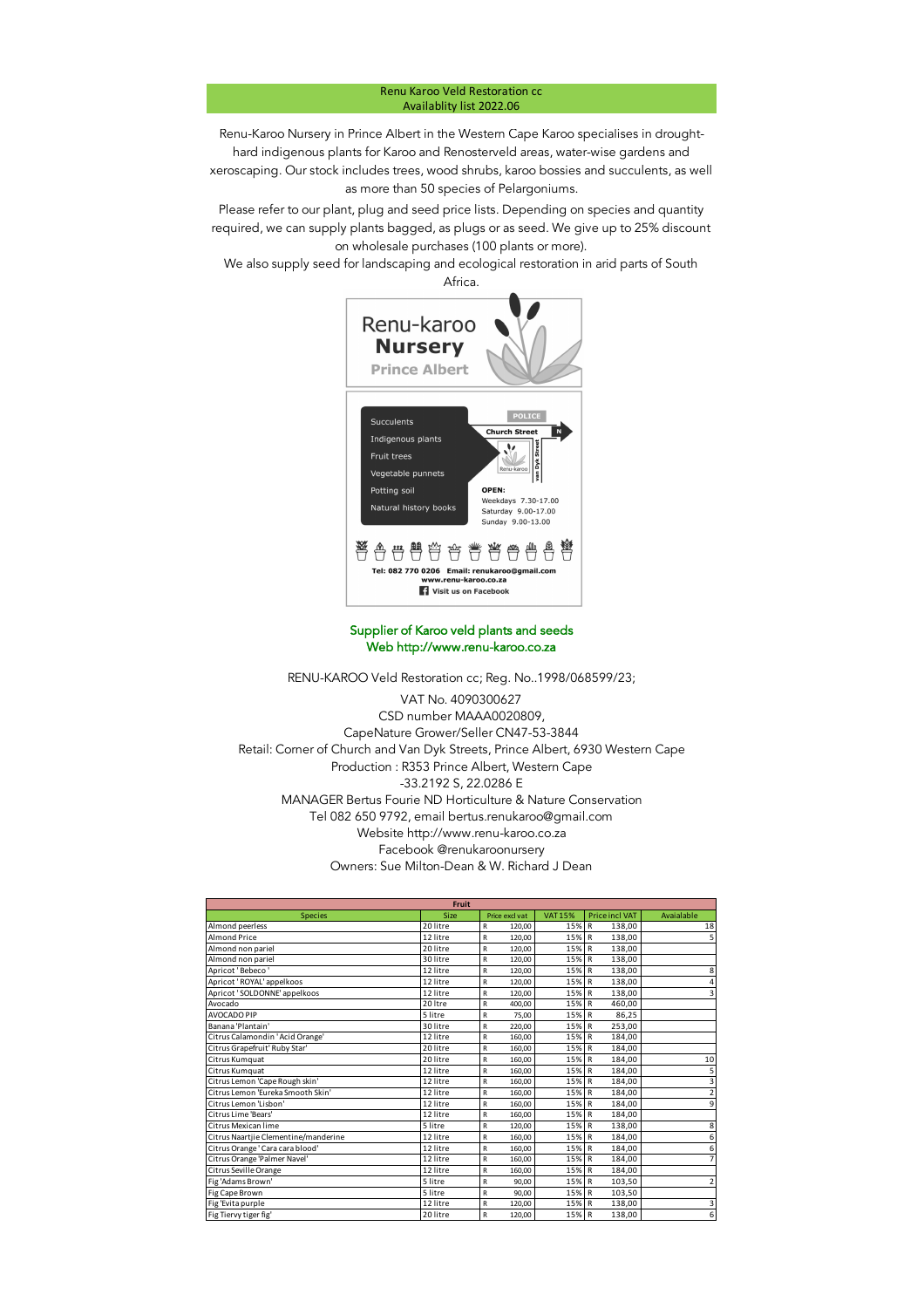## Renu Karoo Veld Restoration cc Availablity list 2022.06

Renu-Karoo Nursery in Prince Albert in the Western Cape Karoo specialises in droughthard indigenous plants for Karoo and Renosterveld areas, water-wise gardens and xeroscaping. Our stock includes trees, wood shrubs, karoo bossies and succulents, as well as more than 50 species of Pelargoniums.

Please refer to our plant, plug and seed price lists. Depending on species and quantity required, we can supply plants bagged, as plugs or as seed. We give up to 25% discount on wholesale purchases (100 plants or more).

We also supply seed for landscaping and ecological restoration in arid parts of South

Africa.



## Supplier of Karoo veld plants and seeds Web http://www.renu-karoo.co.za

RENU-KAROO Veld Restoration cc; Reg. No..1998/068599/23;

-33.2192 S, 22.0286 E Tel 082 650 9792, email bertus.renukaroo@gmail.com MANAGER Bertus Fourie ND Horticulture & Nature Conservation Website http://www.renu-karoo.co.za Facebook @renukaroonursery Owners: Sue Milton-Dean & W. Richard J Dean VAT No. 4090300627 CSD number MAAA0020809, CapeNature Grower/Seller CN47-53-3844 Retail: Corner of Church and Van Dyk Streets, Prince Albert, 6930 Western Cape Production : R353 Prince Albert, Western Cape

|                                      | Fruit    |                        |                |                       |                         |
|--------------------------------------|----------|------------------------|----------------|-----------------------|-------------------------|
| <b>Species</b>                       | Size     | Price excl vat         | <b>VAT 15%</b> | <b>Price incl VAT</b> | Avaialable              |
| Almond peerless                      | 20 litre | 120,00<br>R            | 15% R          | 138,00                | 18                      |
| Almond Price                         | 12 litre | $\mathsf{R}$<br>120.00 | 15% R          | 138,00                | 5                       |
| Almond non pariel                    | 20 litre | $\mathsf{R}$<br>120.00 | 15% R          | 138,00                |                         |
| Almond non pariel                    | 30 litre | $\mathsf{R}$<br>120,00 | 15% R          | 138,00                |                         |
| Apricot 'Bebeco'                     | 12 litre | $\mathsf{R}$<br>120,00 | 15% R          | 138,00                | 8                       |
| Apricot 'ROYAL' appelkoos            | 12 litre | R<br>120.00            | 15% R          | 138,00                | 4                       |
| Apricot 'SOLDONNE' appelkoos         | 12 litre | 120,00<br>R            | 15% R          | 138,00                | $\overline{\mathbf{3}}$ |
| Avocado                              | 20 Itre  | R<br>400.00            | 15% R          | 460,00                |                         |
| AVOCADO PIP                          | 5 litre  | 75.00<br>R             | 15% R          | 86.25                 |                         |
| Banana 'Plantain'                    | 30 litre | 220.00<br>R            | 15% R          | 253,00                |                         |
| Citrus Calamondin 'Acid Orange'      | 12 litre | R<br>160,00            | 15% R          | 184,00                |                         |
| Citrus Grapefruit' Ruby Star'        | 20 litre | R<br>160.00            | 15% R          | 184,00                |                         |
| Citrus Kumquat                       | 20 litre | $\mathsf{R}$<br>160.00 | 15% R          | 184,00                | 10                      |
| Citrus Kumquat                       | 12 litre | $\mathsf{R}$<br>160,00 | 15% R          | 184,00                | 5                       |
| Citrus Lemon 'Cape Rough skin'       | 12 litre | $\mathsf{R}$<br>160,00 | 15% R          | 184,00                | 3                       |
| Citrus Lemon 'Eureka Smooth Skin'    | 12 litre | $\mathsf{R}$<br>160,00 | 15% R          | 184,00                | $\overline{2}$          |
| Citrus Lemon 'Lisbon'                | 12 litre | R<br>160,00            | 15% R          | 184,00                | 9                       |
| Citrus Lime 'Bears'                  | 12 litre | 160,00<br>R            | 15% R          | 184,00                |                         |
| Citrus Mexican lime                  | 5 litre  | 120,00<br>R            | 15% R          | 138,00                | 8                       |
| Citrus Naartjie Clementine/manderine | 12 litre | 160.00<br>$\mathsf{R}$ | 15% R          | 184,00                | 6                       |
| Citrus Orange ' Cara cara blood'     | 12 litre | $\mathsf{R}$<br>160.00 | 15% R          | 184,00                | 6                       |
| Citrus Orange 'Palmer Navel'         | 12 litre | R<br>160,00            | 15% R          | 184,00                | $\overline{7}$          |
| Citrus Seville Orange                | 12 litre | $\mathsf{R}$<br>160,00 | 15% R          | 184,00                |                         |
| Fig 'Adams Brown'                    | 5 litre  | $\mathsf{R}$<br>90.00  | 15% R          | 103,50                | $\overline{2}$          |
| Fig Cape Brown                       | 5 litre  | $\mathsf{R}$<br>90,00  | 15% R          | 103,50                |                         |
| Fig 'Evita purple                    | 12 litre | 120,00<br>R            | 15% R          | 138,00                | 3                       |
| Fig Tiervy tiger fig'                | 20 litre | R<br>120,00            | 15% R          | 138,00                | $\overline{6}$          |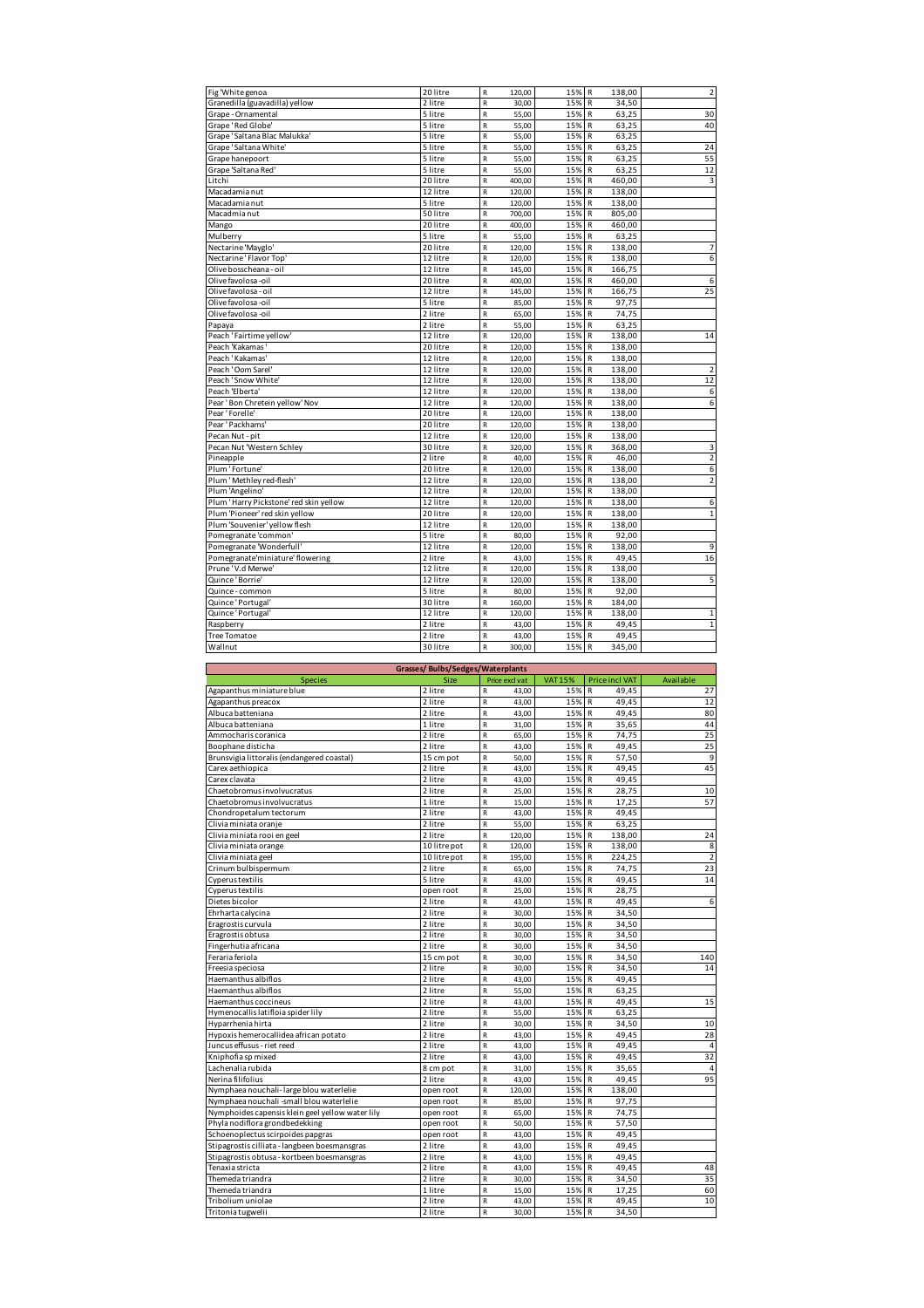| Fig 'White genoa                       | 20 litre | R                       | 120,00 | 15% R |              | 138,00 | 2              |
|----------------------------------------|----------|-------------------------|--------|-------|--------------|--------|----------------|
| Granedilla (guavadilla) yellow         | 2 litre  | $\overline{\mathsf{R}}$ | 30.00  | 15%   | $\mathsf{R}$ | 34,50  |                |
| Grape - Ornamental                     | 5 litre  | R                       | 55,00  | 15%   | $\mathsf{R}$ | 63,25  | 30             |
| Grape'Red Globe'                       | 5 litre  | $\overline{\mathsf{R}}$ | 55,00  | 15%   | $\mathsf{R}$ | 63.25  | 40             |
| Grape ' Saltana Blac Malukka'          | 5 litre  | $\overline{\mathsf{R}}$ | 55,00  | 15%   | $\mathsf{R}$ | 63,25  |                |
| Grape' Saltana White'                  | 5 litre  | R                       | 55,00  | 15%   | $\mathsf{R}$ | 63,25  | 24             |
| Grape hanepoort                        | 5 litre  | R                       | 55,00  | 15%   | $\mathsf{R}$ | 63,25  | 55             |
| Grape 'Saltana Red'                    | 5 litre  | R                       | 55,00  | 15%   | $\mathsf{R}$ | 63,25  | 12             |
| Litchi                                 | 20 litre | R                       | 400,00 | 15%   | $\mathsf{R}$ | 460,00 | 3              |
| Macadamia nut                          | 12 litre | $\overline{\mathsf{R}}$ | 120,00 | 15%   | $\mathsf{R}$ | 138,00 |                |
| Macadamia nut                          | 5 litre  | R                       | 120,00 | 15%   | $\mathsf R$  | 138,00 |                |
| Macadmia nut                           | 50 litre | R                       | 700,00 | 15%   | $\mathsf{R}$ | 805,00 |                |
| Mango                                  | 20 litre | $\mathsf R$             | 400,00 | 15%   | $\mathsf{R}$ | 460,00 |                |
| Mulberry                               | 5 litre  | R                       | 55,00  | 15%   | $\mathsf{R}$ | 63,25  |                |
| Nectarine 'Mayglo'                     | 20 litre | R                       | 120,00 | 15%   | R            | 138,00 | $\overline{7}$ |
| Nectarine ' Flavor Top'                | 12 litre | $\overline{R}$          | 120,00 | 15%   | $\mathsf{R}$ | 138,00 | 6              |
| Olive bosscheana - oil                 | 12 litre | R                       | 145,00 | 15%   | R            | 166,75 |                |
| Olive favolosa -oil                    | 20 litre | $\overline{R}$          | 400.00 | 15%   | $\mathsf{R}$ | 460,00 | 6              |
| Olive favolosa - oil                   | 12 litre | $\overline{R}$          | 145,00 | 15%   | $\mathsf{R}$ | 166,75 | 25             |
| Olive favolosa -oil                    | 5 litre  | $\overline{R}$          | 85,00  | 15%   | $\mathsf{R}$ | 97,75  |                |
| Olive favolosa -oil                    | 2 litre  | R                       | 65,00  | 15%   | $\mathsf R$  | 74,75  |                |
| Papaya                                 | 2 litre  | R                       | 55,00  | 15%   | $\mathsf R$  | 63,25  |                |
| Peach 'Fairtime yellow'                | 12 litre | R                       | 120,00 | 15%   | $\mathsf{R}$ | 138,00 | 14             |
| Peach 'Kakamas                         | 20 litre | R                       | 120,00 | 15%   | R            | 138,00 |                |
| Peach 'Kakamas'                        | 12 litre | R                       | 120,00 | 15%   | $\mathsf{R}$ | 138,00 |                |
| Peach 'Oom Sarel                       | 12 litre | $\overline{R}$          | 120,00 | 15%   | $\mathsf{R}$ | 138,00 | $\overline{2}$ |
| Peach 'Snow White'                     | 12 litre | R                       | 120,00 | 15%   | R            | 138,00 | 12             |
| Peach 'Elberta'                        | 12 litre | $\mathsf R$             | 120,00 | 15%   | R            | 138,00 | 6              |
| Pear 'Bon Chretein yellow' Nov         | 12 litre | $\overline{R}$          | 120,00 | 15%   | $\mathsf{R}$ | 138,00 | 6              |
| Pear 'Forelle'                         | 20 litre | R                       | 120,00 | 15%   | ${\sf R}$    | 138,00 |                |
| Pear 'Packhams'                        | 20 litre | $\overline{R}$          | 120,00 | 15%   | $\mathsf{R}$ | 138,00 |                |
| Pecan Nut - pit                        | 12 litre | $\overline{R}$          | 120,00 | 15%   | $\mathsf{R}$ | 138,00 |                |
| Pecan Nut 'Western Schley              | 30 litre | $\mathsf R$             | 320,00 | 15%   | $\mathsf{R}$ | 368,00 | 3              |
| Pineapple                              | 2 litre  | $\overline{R}$          | 40,00  | 15%   | $\mathsf{R}$ | 46,00  | $\overline{2}$ |
| Plum 'Fortune'                         | 20 litre | $\mathsf R$             | 120,00 | 15%   | $\mathsf{R}$ | 138,00 | 6              |
| Plum ' Methley red-flesh'              | 12 litre | R                       | 120,00 | 15%   | $\mathsf{R}$ | 138,00 | $\overline{2}$ |
| Plum 'Angelino'                        | 12 litre | R                       | 120,00 | 15%   | $\mathsf{R}$ | 138,00 |                |
| Plum 'Harry Pickstone' red skin yellow | 12 litre | R                       | 120,00 | 15%   | $\mathsf{R}$ | 138,00 | 6              |
| Plum 'Pioneer' red skin yellow         | 20 litre | R                       | 120,00 | 15%   | $\mathsf{R}$ | 138,00 | $\mathbf{1}$   |
| Plum 'Souvenier' yellow flesh          | 12 litre | R                       | 120,00 | 15%   | $\mathsf{R}$ | 138,00 |                |
| Pomegranate 'common'                   | 5 litre  | R                       | 80,00  | 15%   | $\mathsf{R}$ | 92,00  |                |
| Pomegranate 'Wonderfull'               | 12 litre | R                       | 120,00 | 15%   | R            | 138,00 | 9              |
| Pomegranate'miniature' flowering       | 2 litre  | R                       | 43,00  | 15%   | $\mathsf{R}$ | 49,45  | 16             |
| Prune'V.d Merwe'                       | 12 litre | $\overline{\mathsf{R}}$ | 120,00 | 15%   | R            | 138,00 |                |
| Quince'Borrie'                         | 12 litre | $\overline{R}$          | 120,00 | 15%   | $\mathsf{R}$ | 138,00 | 5              |
| Quince - common                        | 5 litre  | $\overline{R}$          | 80,00  | 15%   | $\mathsf{R}$ | 92,00  |                |
| Quince 'Portugal'                      | 30 litre | $\overline{R}$          | 160,00 | 15%   | $\mathsf{R}$ | 184,00 |                |
| Quince' Portugal'                      | 12 litre | R                       | 120,00 | 15%   | $\mathsf{R}$ | 138,00 | $\mathbf 1$    |
| Raspberry                              | 2 litre  | R                       | 43,00  | 15%   | $\mathsf{R}$ | 49,45  | $\mathbf 1$    |
| <b>Tree Tomatoe</b>                    | 2 litre  | R                       | 43,00  | 15% R |              | 49,45  |                |
| Wallnut                                | 30 litre | R                       | 300,00 | 15%   | $\mathsf{R}$ | 345,00 |                |
|                                        |          |                         |        |       |              |        |                |

|                                                  | Grasses/Bulbs/Sedges/Waterplants |                                   |                |                        |                         |
|--------------------------------------------------|----------------------------------|-----------------------------------|----------------|------------------------|-------------------------|
| <b>Species</b>                                   | <b>Size</b>                      | Price excl vat                    | <b>VAT 15%</b> | <b>Price incl VAT</b>  | Available               |
| Agapanthus miniature blue                        | 2 litre                          | R<br>43,00                        | 15%            | $\mathsf{R}$<br>49,45  | 27                      |
| Agapanthus preacox                               | 2 litre                          | R<br>43.00                        | 15%            | 49.45<br>$\mathsf{R}$  | 12                      |
| Albuca batteniana                                | 2 litre                          | R<br>43.00                        | 15%            | 49.45<br>$\mathsf{R}$  | 80                      |
| Albuca batteniana                                | 1 litre                          | R<br>31,00                        | 15%            | 35,65<br>$\mathsf{R}$  | 44                      |
| Ammocharis coranica                              | 2 litre                          | R<br>65,00                        | 15%            | 74,75<br>R             | 25                      |
| Boophane disticha                                | 2 litre                          | R<br>43,00                        | 15%            | 49,45<br>$\mathsf{R}$  | 25                      |
| Brunsvigia littoralis (endangered coastal)       | 15 cm pot                        | 50.00<br>$\overline{R}$           | 15%            | 57,50<br>$\mathsf{R}$  | 9                       |
| Carex aethiopica                                 | 2 litre                          | $\overline{R}$<br>43,00           | 15%            | 49,45<br>$\mathsf{R}$  | 45                      |
| Carex clavata                                    | 2 litre                          | $\overline{R}$<br>43,00           | 15%            | 49.45<br>$\mathsf{R}$  |                         |
| Chaetobromus involvucratus                       | 2 litre                          | R<br>25.00                        | 15%            | $\mathsf{R}$<br>28,75  | 10                      |
| Chaetobromus involvucratus                       | 1 litre                          | $\overline{R}$<br>15,00           | 15%            | 17,25<br>$\mathsf{R}$  | 57                      |
| Chondropetalum tectorum                          | 2 litre                          | $\overline{\mathsf{R}}$<br>43,00  | 15%            | 49,45<br>$\mathsf{R}$  |                         |
| Clivia miniata oranje                            | 2 litre                          | $\overline{\mathsf{R}}$<br>55.00  | 15%            | 63.25<br>$\mathsf{R}$  |                         |
| Clivia miniata rooi en geel                      | 2 litre                          | $\overline{\mathsf{R}}$<br>120.00 | 15%            | 138.00<br>$\mathsf{R}$ | 24                      |
| Clivia miniata orange                            | 10 litre pot                     | $\mathsf{R}$<br>120,00            | 15%            | $\mathsf{R}$<br>138,00 | 8                       |
| Clivia miniata geel                              | 10 litre pot                     | $\mathsf{R}$<br>195,00            | 15%            | 224,25<br>$\mathsf{R}$ | $\overline{\mathbf{2}}$ |
| Crinum bulbispermum                              | 2 litre                          | $\overline{R}$<br>65,00           | 15%            | 74.75<br>$\mathsf{R}$  | 23                      |
| Cyperus textilis                                 | 5 litre                          | $\overline{R}$<br>43,00           | 15%            | 49,45<br>$\mathsf{R}$  | 14                      |
| Cyperus textilis                                 | open root                        | $\overline{R}$<br>25,00           | 15%            | 28,75<br>$\mathsf{R}$  |                         |
| Dietes bicolor                                   | 2 litre                          | $\overline{\mathsf{R}}$<br>43,00  | 15% R          | 49,45                  | 6                       |
| Ehrharta calycina                                | 2 litre                          | $\overline{\mathsf{R}}$<br>30,00  | 15%            | 34,50<br>$\mathsf{R}$  |                         |
| Eragrostis curvula                               | 2 litre                          | $\mathsf{R}$<br>30,00             | 15%            | 34,50<br>$\mathsf{R}$  |                         |
| Eragrostis obtusa                                | 2 litre                          | R<br>30,00                        | 15%            | $\mathsf R$<br>34,50   |                         |
| Fingerhutia africana                             | 2 litre                          | $\mathsf{R}$<br>30,00             | 15%            | R<br>34,50             |                         |
| Feraria feriola                                  | 15 cm pot                        | $\mathsf{R}$<br>30,00             | 15%            | 34,50<br>$\mathsf{R}$  | 140                     |
| Freesia speciosa                                 | 2 litre                          | $\mathsf{R}$<br>30,00             | 15%            | 34,50<br>$\mathsf{R}$  | 14                      |
| Haemanthus albiflos                              | 2 litre                          | R<br>43,00                        | 15%            | 49,45<br>$\mathsf R$   |                         |
| Haemanthus albiflos                              | 2 litre                          | R<br>55,00                        | 15%            | $\mathsf{R}$<br>63,25  |                         |
| Haemanthus coccineus                             | 2 litre                          | R<br>43.00                        | 15%            | 49,45<br>$\mathsf{R}$  | 15                      |
| Hymenocallis latifloia spider lily               | 2 litre                          | ${\sf R}$<br>55,00                | 15%            | 63,25<br>$\mathsf{R}$  |                         |
| Hyparrhenia hirta                                | 2 litre                          | $\mathsf{R}$<br>30,00             | 15%            | 34,50<br>R             | 10                      |
| Hypoxis hemerocallidea african potato            | 2 litre                          | $\mathsf{R}$<br>43,00             | 15%            | 49,45<br>R             | 28                      |
| Juncus effusus - riet reed                       | 2 litre                          | R<br>43.00                        | 15%            | 49.45<br>$\mathsf{R}$  | 4                       |
| Kniphofia sp mixed                               | 2 litre                          | ${\sf R}$<br>43,00                | 15%            | 49,45<br>$\mathsf R$   | 32                      |
| Lachenalia rubida                                | 8 cm pot                         | R<br>31,00                        | 15%            | 35,65<br>$\mathsf{R}$  | $\overline{4}$          |
| Nerina filifolius                                | 2 litre                          | $\overline{R}$<br>43,00           | 15%            | 49,45<br>$\mathsf{R}$  | 95                      |
| Nymphaea nouchali-large blou waterlelie          | open root                        | R<br>120.00                       | 15%            | 138,00<br>$\mathsf{R}$ |                         |
| Nymphaea nouchali -small blou waterlelie         | open root                        | 85,00<br>R                        | 15%            | 97,75<br>$\mathsf{R}$  |                         |
| Nymphoides capensis klein geel yellow water lily | open root                        | R<br>65,00                        | 15%            | 74,75<br>$\mathsf{R}$  |                         |
| Phyla nodiflora grondbedekking                   | open root                        | R<br>50,00                        | 15%            | 57,50<br>$\mathsf{R}$  |                         |
| Schoenoplectus scirpoides papgras                | open root                        | R<br>43.00                        | 15%            | 49.45<br>$\mathsf{R}$  |                         |
| Stipagrostis cilliata - langbeen boesmansgras    | 2 litre                          | R<br>43,00                        | 15%            | 49,45<br>$\mathsf R$   |                         |
| Stipagrostis obtusa - kortbeen boesmansgras      | 2 litre                          | $\overline{\mathsf{R}}$<br>43,00  | 15%            | 49,45<br>$\mathsf{R}$  |                         |
| Tenaxia stricta                                  | 2 litre                          | R<br>43,00                        | 15%            | $\mathsf{R}$<br>49,45  | 48                      |
| Themeda triandra                                 | 2 litre                          | R<br>30,00                        | 15%            | 34,50<br>$\mathsf{R}$  | 35                      |
| Themeda triandra                                 | 1 litre                          | 15,00<br>$\overline{R}$           | 15%            | $\mathsf{R}$<br>17,25  | 60                      |
| Tribolium uniolae                                | 2 litre                          | R<br>43,00                        | 15%            | 49.45<br>R             | 10                      |
| Tritonia tugwelii                                | 2 litre                          | R<br>30,00                        | 15%            | $\mathsf{R}$<br>34,50  |                         |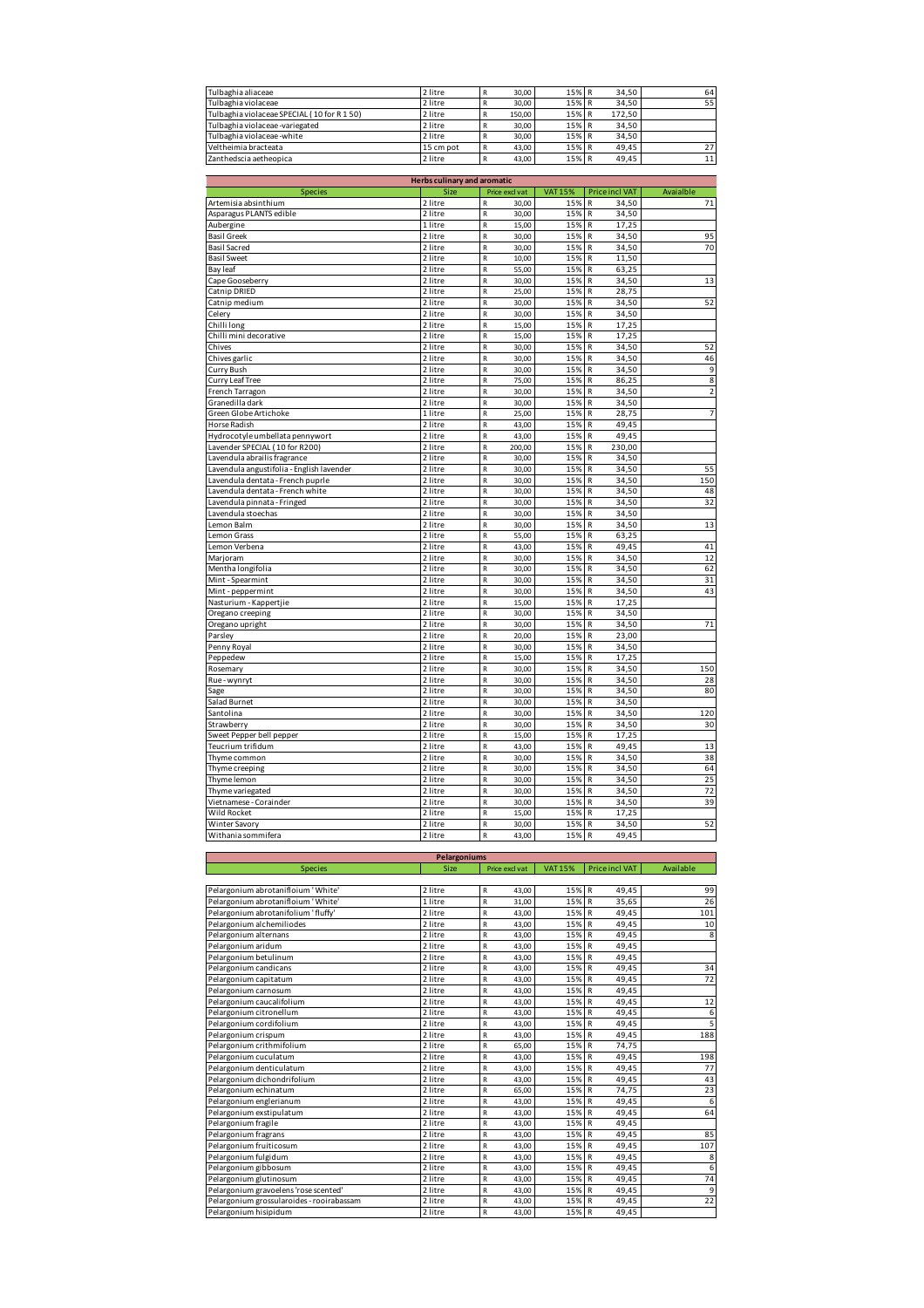| Tulbaghia aliaceae                        | 2 litre   | 30.00  | 15% R | 34.50  | 64 |
|-------------------------------------------|-----------|--------|-------|--------|----|
| Tulbaghia violaceae                       | 2 litre   | 30.00  | 15% R | 34.50  | 55 |
| Tulbaghia violaceae SPECIAL (10 for R150) | 2 litre   | 150.00 | 15% R | 172.50 |    |
| Tulbaghia violaceae -variegated           | 2 litre   | 30.00  | 15% R | 34.50  |    |
| Tulbaghia violaceae -white                | 2 litre   | 30.00  | 15% R | 34.50  |    |
| Veltheimia bracteata                      | 15 cm pot | 43.00  | 15% R | 49.45  | 27 |
| Zanthedscia aetheopica                    | 2 litre   | 43.00  | 15% R | 49.45  | 11 |

|                                           | <b>Herbs culinary and aromatic</b> |                                  |                |                       |                |
|-------------------------------------------|------------------------------------|----------------------------------|----------------|-----------------------|----------------|
| <b>Species</b>                            | Size                               | Price excl vat                   | <b>VAT 15%</b> | <b>Price incl VAT</b> | Avaialble      |
| Artemisia absinthium                      | 2 litre                            | 30,00<br>R                       | 15%            | $\mathsf{R}$<br>34,50 | 71             |
| Asparagus PLANTS edible                   | 2 litre                            | $\overline{\mathsf{R}}$<br>30.00 | 15%            | R<br>34.50            |                |
| Aubergine                                 | 1 litre                            | $\mathsf R$<br>15,00             | 15%            | 17,25<br>$\mathsf{R}$ |                |
| <b>Basil Greek</b>                        | 2 litre                            | $\mathsf R$<br>30,00             | 15%            | 34,50<br>R            | 95             |
| <b>Basil Sacred</b>                       | 2 litre                            | 30,00<br>R                       | 15%            | 34,50<br>R            | 70             |
| <b>Basil Sweet</b>                        | 2 litre                            | $\overline{R}$<br>10,00          | 15%            | 11,50<br>R            |                |
| Bay leaf                                  | 2 litre                            | $\overline{\mathsf{R}}$<br>55,00 | 15%            | 63,25<br>R            |                |
| Cape Gooseberry                           | 2 litre                            | R<br>30,00                       | 15%            | 34,50<br>R            | 13             |
| Catnip DRIED                              | 2 litre                            | R<br>25,00                       | 15%            | R<br>28,75            |                |
| Catnip medium                             | 2 litre                            | $\overline{\mathsf{R}}$<br>30,00 | 15%            | R<br>34,50            | 52             |
| Celery                                    | 2 litre                            | $\overline{\mathsf{R}}$<br>30,00 | 15%            | 34,50<br>R            |                |
| Chilli long                               | 2 litre                            | 15,00<br>R                       | 15%            | R<br>17,25            |                |
| Chilli mini decorative                    | 2 litre                            | R<br>15,00                       | 15%            | R<br>17,25            |                |
| Chives                                    | 2 litre                            | $\overline{R}$<br>30,00          | 15%            | $\mathsf{R}$<br>34,50 | 52             |
| Chives garlic                             | 2 litre                            | $\overline{R}$<br>30,00          | 15%            | R<br>34,50            | 46             |
|                                           | 2 litre                            | $\mathsf R$<br>30,00             | 15%            | 34,50<br>R            | 9              |
| Curry Bush                                | 2 litre                            | $\overline{\mathsf{R}}$<br>75,00 | 15%            | R<br>86,25            | 8              |
| Curry Leaf Tree                           |                                    |                                  |                |                       |                |
| French Tarragon                           | 2 litre                            | $\overline{R}$<br>30,00          | 15%            | $\mathsf{R}$<br>34,50 | $\overline{2}$ |
| Granedilla dark                           | 2 litre                            | $\overline{\mathsf{R}}$<br>30,00 | 15%            | $\mathsf{R}$<br>34,50 |                |
| Green Globe Artichoke                     | 1 litre                            | R<br>25,00                       | 15%            | $\mathsf{R}$<br>28,75 | $\overline{7}$ |
| Horse Radish                              | 2 litre                            | R<br>43,00                       | 15%            | 49,45<br>R            |                |
| Hydrocotyle umbellata pennywort           | 2 litre                            | $\overline{R}$<br>43,00          | 15%            | $\mathsf{R}$<br>49,45 |                |
| Lavender SPECIAL (10 for R200)            | 2 litre                            | $\overline{R}$<br>200,00         | 15%            | R<br>230,00           |                |
| Lavendula abrailis fragrance              | 2 litre                            | $\overline{R}$<br>30.00          | 15%            | $\mathsf{R}$<br>34,50 |                |
| Lavendula angustifolia - English lavender | 2 litre                            | $\mathsf R$<br>30,00             | 15%            | 34,50<br>R            | 55             |
| Lavendula dentata - French puprle         | 2 litre                            | R<br>30,00                       | 15%            | 34,50<br>$\mathsf{R}$ | 150            |
| Lavendula dentata - French white          | 2 litre                            | R<br>30,00                       | 15%            | 34,50<br>R            | 48             |
| Lavendula pinnata - Fringed               | 2 litre                            | $\mathsf R$<br>30,00             | 15%            | 34,50<br>$\mathsf{R}$ | 32             |
| Lavendula stoechas                        | 2 litre                            | 30.00<br>$\overline{R}$          | 15%            | 34.50<br>R            |                |
| Lemon Balm                                | 2 litre                            | R<br>30,00                       | 15%            | 34,50<br>R            | 13             |
| Lemon Grass                               | 2 litre                            | R<br>55,00                       | 15%            | 63,25<br>R            |                |
| Lemon Verbena                             | 2 litre                            | $\mathsf R$<br>43,00             | 15%            | 49,45<br>R            | 41             |
| Marjoram                                  | 2 litre                            | 30,00<br>$\mathsf R$             | 15%            | R<br>34,50            | 12             |
| Mentha longifolia                         | 2 litre                            | R<br>30,00                       | 15%            | 34,50<br>R            | 62             |
| Mint - Spearmint                          | 2 litre                            | R<br>30,00                       | 15%            | R<br>34,50            | 31             |
| Mint - peppermint                         | 2 litre                            | R<br>30,00                       | 15%            | R<br>34,50            | 43             |
| Nasturium - Kappertjie                    | 2 litre                            | $\overline{R}$<br>15,00          | 15%            | $\mathsf{R}$<br>17,25 |                |
| Oregano creeping                          | 2 litre                            | $\overline{\mathsf{R}}$<br>30,00 | 15%            | 34,50<br>R            |                |
| Oregano upright                           | 2 litre                            | R<br>30,00                       | 15%            | $\mathsf R$<br>34,50  | 71             |
| Parsley                                   | 2 litre                            | $\overline{\mathsf{R}}$<br>20,00 | 15%            | $\mathsf{R}$<br>23,00 |                |
| Penny Royal                               | 2 litre                            | $\mathsf R$<br>30,00             | 15%            | $\mathsf{R}$<br>34,50 |                |
| Peppedew                                  | 2 litre                            | $\overline{R}$<br>15,00          | 15%            | R<br>17,25            |                |
| Rosemary                                  | 2 litre                            | R<br>30,00                       | 15%            | $\mathsf R$<br>34,50  | 150            |
| Rue - wynryt                              | 2 litre                            | $\overline{\mathsf{R}}$<br>30,00 | 15%            | R<br>34,50            | 28             |
| Sage                                      | 2 litre                            | $\mathsf R$<br>30,00             | 15%            | $\mathsf{R}$<br>34,50 | 80             |
| Salad Burnet                              | 2 litre                            | $\overline{\mathsf{R}}$<br>30.00 | 15%            | 34.50<br>R            |                |
| Santolina                                 | 2 litre                            | R<br>30,00                       | 15%            | $\mathsf{R}$<br>34,50 | 120            |
| Strawberry                                | 2 litre                            | R<br>30,00                       | 15%            | 34,50<br>R            | 30             |
| Sweet Pepper bell pepper                  | 2 litre                            | $\mathsf R$<br>15,00             | 15%            | 17,25<br>R            |                |
| Teucrium trifidum                         | 2 litre                            | 43,00<br>R                       | 15%            | 49,45<br>R            | 13             |
| Thyme common                              | 2 litre                            | 30,00<br>$\overline{R}$          | 15%            | 34,50<br>$\mathsf{R}$ | 38             |
| Thyme creeping                            | 2 litre                            | R<br>30,00                       | 15%            | R<br>34,50            | 64             |
| Thyme lemon                               | 2 litre                            | $\overline{\mathsf{R}}$<br>30,00 | 15%            | R<br>34,50            | 25             |
| Thyme variegated                          | 2 litre                            | $\mathsf R$<br>30,00             | 15%            | 34,50<br>R            | 72             |
| Vietnamese - Corainder                    | 2 litre                            | $\mathsf R$<br>30,00             | 15%            | 34,50<br>R            | 39             |
| Wild Rocket                               | 2 litre                            | $\mathsf R$<br>15,00             | 15%            | R<br>17,25            |                |
|                                           | 2 litre                            |                                  | 15%            | 34,50<br>R            | 52             |
| Winter Savory                             |                                    | R<br>30,00                       |                |                       |                |
| Withania sommifera                        | 2 litre                            | $\overline{\mathsf{R}}$<br>43,00 | 15%            | R<br>49,45            |                |

|                                           | Pelargoniums |                         |                |                       |                |
|-------------------------------------------|--------------|-------------------------|----------------|-----------------------|----------------|
| <b>Species</b>                            | Size         | Price excl vat          | <b>VAT 15%</b> | <b>Price incl VAT</b> | Available      |
|                                           |              |                         |                |                       |                |
| Pelargonium abrotanifloium 'White'        | 2 litre      | R<br>43.00              | 15% R          | 49,45                 | 99             |
| Pelargonium abrotanifloium 'White'        | 1 litre      | R<br>31.00              | 15% R          | 35.65                 | 26             |
| Pelargonium abrotanifolium 'fluffy'       | 2 litre      | R<br>43,00              | 15% R          | 49,45                 | 101            |
| Pelargonium alchemiliodes                 | 2 litre      | R<br>43.00              | 15% R          | 49.45                 | 10             |
| Pelargonium alternans                     | 2 litre      | R<br>43,00              | 15% R          | 49.45                 | 8              |
| Pelargonium aridum                        | 2 litre      | R<br>43,00              | 15% R          | 49.45                 |                |
| Pelargonium betulinum                     | 2 litre      | R<br>43.00              | 15% R          | 49,45                 |                |
| Pelargonium candicans                     | 2 litre      | R<br>43,00              | 15% R          | 49,45                 | 34             |
| Pelargonium capitatum                     | 2 litre      | R<br>43,00              | 15% R          | 49,45                 | 72             |
| Pelargonium carnosum                      | 2 litre      | R<br>43,00              | 15% R          | 49,45                 |                |
| Pelargonium caucalifolium                 | 2 litre      | R<br>43,00              | 15% R          | 49,45                 | 12             |
| Pelargonium citronellum                   | 2 litre      | R<br>43.00              | 15% R          | 49.45                 | 6              |
| Pelargonium cordifolium                   | 2 litre      | R<br>43.00              | 15% R          | 49.45                 | $\overline{5}$ |
| Pelargonium crispum                       | 2 litre      | R<br>43.00              | 15% R          | 49,45                 | 188            |
| Pelargonium crithmifolium                 | 2 litre      | 65,00<br>R              | 15% R          | 74.75                 |                |
| Pelargonium cuculatum                     | 2 litre      | R<br>43,00              | 15% R          | 49,45                 | 198            |
| Pelargonium denticulatum                  | 2 litre      | R<br>43.00              | 15% R          | 49.45                 | 77             |
| Pelargonium dichondrifolium               | 2 litre      | R<br>43.00              | 15% R          | 49.45                 | 43             |
| Pelargonium echinatum                     | 2 litre      | R<br>65.00              | 15% R          | 74,75                 | 23             |
| Pelargonium englerianum                   | 2 litre      | R<br>43,00              | 15% R          | 49.45                 | 6              |
| Pelargonium exstipulatum                  | 2 litre      | R<br>43.00              | 15% R          | 49,45                 | 64             |
| Pelargonium fragile                       | 2 litre      | 43,00<br>R              | 15% R          | 49,45                 |                |
| Pelargonium fragrans                      | 2 litre      | R<br>43,00              | 15% R          | 49.45                 | 85             |
| Pelargonium fruiticosum                   | 2 litre      | $\overline{R}$<br>43,00 | 15% R          | 49,45                 | 107            |
| Pelargonium fulgidum                      | 2 litre      | R<br>43,00              | 15% R          | 49.45                 | 8              |
| Pelargonium gibbosum                      | 2 litre      | R<br>43,00              | 15% R          | 49.45                 | 6              |
| Pelargonium glutinosum                    | 2 litre      | R<br>43.00              | 15% R          | 49.45                 | 74             |
| Pelargonium gravoelens 'rose scented'     | 2 litre      | R<br>43.00              | 15% R          | 49.45                 | 9              |
| Pelargonium grossularoides - rooirabassam | 2 litre      | R<br>43,00              | 15% R          | 49,45                 | 22             |
| Pelargonium hisipidum                     | 2 litre      | R<br>43.00              | 15% R          | 49.45                 |                |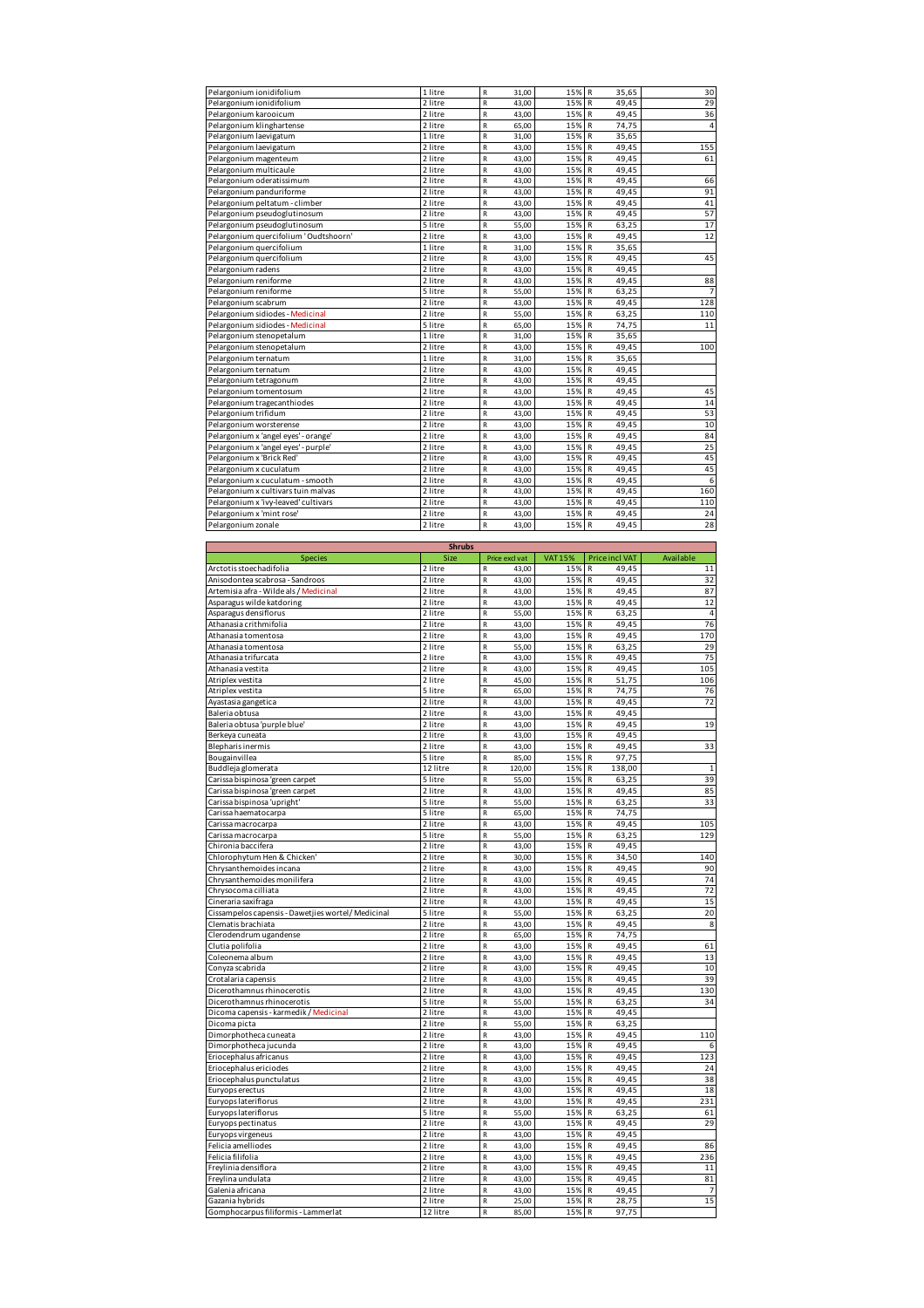| Pelargonium ionidifolium                              | 1 litre       | R<br>31,00            | 15%            | R<br>35,65            | 30             |
|-------------------------------------------------------|---------------|-----------------------|----------------|-----------------------|----------------|
|                                                       |               |                       | 15%            | 49,45                 | 29             |
| Pelargonium ionidifolium                              | 2 litre       | R<br>43,00            |                | R                     |                |
| Pelargonium karooicum                                 | 2 litre       | $\mathsf R$<br>43,00  | 15%            | 49,45<br>R            | 36             |
| Pelargonium klinghartense                             | 2 litre       | $\mathsf R$<br>65,00  | 15%            | R<br>74,75            | 4              |
| Pelargonium laevigatum                                | 1 litre       | R<br>31,00            | 15%            | R<br>35,65            |                |
| Pelargonium laevigatum                                | 2 litre       | R<br>43,00            | 15%            | 49,45<br>R            | 155            |
|                                                       | 2 litre       | $\mathsf R$<br>43,00  | 15%            | R<br>49,45            | 61             |
| Pelargonium magenteum                                 |               |                       |                |                       |                |
| Pelargonium multicaule                                | 2 litre       | $\mathsf R$<br>43,00  | 15%            | R<br>49,45            |                |
| Pelargonium oderatissimum                             | 2 litre       | $\mathsf R$<br>43,00  | 15%            | R<br>49,45            | 66             |
| Pelargonium panduriforme                              | 2 litre       | $\mathsf R$<br>43,00  | 15%            | 49,45<br>R            | 91             |
| Pelargonium peltatum - climber                        | 2 litre       | ${\sf R}$<br>43,00    | 15%            | 49,45<br>R            | 41             |
| Pelargonium pseudoglutinosum                          | 2 litre       | ${\sf R}$<br>43,00    | 15%            | ${\sf R}$<br>49,45    | 57             |
| Pelargonium pseudoglutinosum                          | 5 litre       | $\mathsf R$<br>55,00  | 15%            | R<br>63,25            | 17             |
|                                                       |               |                       |                |                       |                |
| Pelargonium quercifolium 'Oudtshoorn'                 | 2 litre       | $\mathsf{R}$<br>43,00 | 15%            | R<br>49,45            | 12             |
| Pelargonium quercifolium                              | 1 litre       | R<br>31,00            | 15%            | R<br>35,65            |                |
| Pelargonium quercifolium                              | 2 litre       | $\mathsf R$<br>43,00  | 15%            | 49,45<br>R            | 45             |
| Pelargonium radens                                    | 2 litre       | $\mathsf R$<br>43,00  | 15%            | R<br>49,45            |                |
| Pelargonium reniforme                                 | 2 litre       | R<br>43,00            | 15%            | 49,45<br>R            | 88             |
| Pelargonium reniforme                                 | 5 litre       | R<br>55,00            | 15%            | 63,25<br>R            |                |
| Pelargonium scabrum                                   | 2 litre       | R<br>43,00            | 15%            | R<br>49,45            | 128            |
| Pelargonium sidiodes - Medicinal                      | 2 litre       | ${\sf R}$<br>55,00    | 15%            | R<br>63,25            | 110            |
|                                                       |               |                       |                |                       |                |
| Pelargonium sidiodes - Medicinal                      | 5 litre       | R<br>65,00            | 15%            | 74,75<br>R            | 11             |
| Pelargonium stenopetalum                              | 1 litre       | R<br>31,00            | 15%            | R<br>35,65            |                |
| Pelargonium stenopetalum                              | 2 litre       | $\mathsf R$<br>43,00  | 15%            | 49,45<br>R            | 100            |
| Pelargonium ternatum                                  | 1 litre       | $\mathsf R$<br>31,00  | 15%            | R<br>35,65            |                |
| Pelargonium ternatum                                  | 2 litre       | R<br>43,00            | 15%            | R<br>49,45            |                |
| Pelargonium tetragonum                                | 2 litre       | R<br>43,00            | 15%            | 49,45<br>R            |                |
|                                                       | 2 litre       | R<br>43,00            | 15%            | R<br>49,45            | 45             |
| Pelargonium tomentosum                                |               |                       |                |                       |                |
| Pelargonium tragecanthiodes                           | 2 litre       | $\mathsf{R}$<br>43,00 | 15%            | 49,45<br>R            | 14             |
| Pelargonium trifidum                                  | 2 litre       | $\mathsf R$<br>43,00  | 15%            | R<br>49,45            | 53             |
| Pelargonium worsterense                               | 2 litre       | $\mathsf R$<br>43,00  | 15%            | R<br>49,45            | 10             |
| Pelargonium x 'angel eyes' - orange                   | 2 litre       | ${\sf R}$<br>43,00    | 15%            | 49,45<br>R            | 84             |
| Pelargonium x 'angel eyes' - purple'                  | 2 litre       | $\mathsf R$<br>43,00  | 15%            | R<br>49,45            | 25             |
| Pelargonium x 'Brick Red'                             | 2 litre       | 43,00<br>R            | 15%            | R<br>49,45            | 45             |
|                                                       |               |                       |                |                       |                |
| Pelargonium x cuculatum                               | 2 litre       | $\mathsf{R}$<br>43,00 | 15%            | R<br>49,45            | 45             |
| Pelargonium x cuculatum - smooth                      | 2 litre       | R<br>43,00            | 15%            | R<br>49,45            | 6              |
| Pelargonium x cultivars tuin malvas                   | 2 litre       | $\mathsf R$<br>43,00  | 15%            | 49,45<br>R            | 160            |
| Pelargonium x 'ivy-leaved' cultivars                  | 2 litre       | $\mathsf R$<br>43,00  | 15%            | 49,45<br>R            | 110            |
| Pelargonium x 'mint rose'                             | 2 litre       | R<br>43,00            | 15%            | 49,45<br>R            | 24             |
| Pelargonium zonale                                    | 2 litre       | R<br>43,00            | 15%            | R<br>49,45            | 28             |
|                                                       |               |                       |                |                       |                |
|                                                       |               |                       |                |                       |                |
|                                                       | <b>Shrubs</b> |                       |                |                       |                |
| <b>Species</b>                                        | Size          | Price excl vat        | <b>VAT 15%</b> | <b>Price incl VAT</b> | Available      |
| Arctotis stoechadifolia                               | 2 litre       | 43,00<br>R            | 15%            | 49,45<br>R            | $11\,$         |
| Anisodontea scabrosa - Sandroos                       | 2 litre       | ${\sf R}$<br>43,00    | 15%            | 49,45<br>R            | 32             |
| Artemisia afra - Wilde als / Medicinal                | 2 litre       | R<br>43,00            | 15%            | R<br>49,45            | 87             |
| Asparagus wilde katdoring                             | 2 litre       | R<br>43,00            | 15%            | 49,45<br>R            | 12             |
| Asparagus densiflorus                                 | 2 litre       | R<br>55,00            | 15%            | 63,25<br>R            | $\overline{4}$ |
| Athanasia crithmifolia                                | 2 litre       | $\mathsf R$<br>43,00  | 15%            | R<br>49,45            | 76             |
| Athanasia tomentosa                                   | 2 litre       | $\mathsf R$<br>43,00  | 15%            | R<br>49,45            | 170            |
|                                                       |               |                       |                | R                     | 29             |
|                                                       |               |                       |                |                       |                |
| Athanasia tomentosa                                   | 2 litre       | ${\sf R}$<br>55,00    | 15%            | 63,25                 |                |
| Athanasia trifurcata                                  | 2 litre       | R<br>43,00            | 15%            | 49,45<br>R            | 75             |
| Athanasia vestita                                     | 2 litre       | R<br>43,00            | 15%            | 49,45<br>R            | 105            |
| Atriplex vestita                                      | 2 litre       | $\mathsf R$<br>45,00  | 15%            | R<br>51,75            | 106            |
|                                                       | 5 litre       | $\mathsf R$           | 15%            | 74,75<br>R            | 76             |
| Atriplex vestita                                      |               | 65,00                 |                |                       |                |
| Ayastasia gangetica                                   | 2 litre       | $\mathsf R$<br>43,00  | 15%            | 49,45<br>R            | 72             |
| Baleria obtusa                                        | 2 litre       | R<br>43,00            | 15%            | 49,45<br>R            |                |
| Baleria obtusa 'purple blue'                          | 2 litre       | $\mathsf R$<br>43,00  | 15%            | 49,45<br>R            | 19             |
| Berkeya cuneata                                       | 2 litre       | $\mathsf R$<br>43,00  | 15%            | 49,45<br>R            |                |
| <b>Blepharis inermis</b>                              | 2 litre       | R<br>43,00            | 15%            | 49,45<br>R            | 33             |
| Bougainvillea                                         | 5 litre       | R<br>85,00            | 15%            | 97,75<br>R            |                |
|                                                       | 12 litre      | $\mathsf R$           | 15%            | R<br>138,00           | $\,1\,$        |
| Buddleja glomerata<br>Carissa bispinosa 'green carpet | 5 litre       | 120,00<br>55.00       | 15%            | R<br>63<br>25         | 39             |
|                                                       |               |                       |                |                       |                |
| Carissa bispinosa 'green carpet                       | 2 litre       | R<br>43,00            | 15%            | 49,45<br>R            | 85             |
| Carissa bispinosa 'upright'                           | 5 litre       | R<br>55,00            | 15%            | 63,25<br>R            | 33             |
| Carissa haematocarpa                                  | 5 litre       | ${\sf R}$<br>65,00    | 15%            | 74,75<br>R            |                |
| Carissa macrocarpa                                    | 2 litre       | R<br>43,00            | 15%            | 49,45<br>${\sf R}$    | 105            |
| Carissa macrocarpa                                    | 5 litre       | 55,00<br>R            | 15%            | 63,25<br>R            | 129            |
| Chironia baccifera                                    | 2 litre       | R<br>43,00            | 15%            | 49,45<br>R            |                |
| Chlorophytum Hen & Chicken'                           | 2 litre       | R<br>30,00            | 15%            | 34,50<br>${\sf R}$    | 140            |
| Chrysanthemoides incana                               |               |                       |                | R                     |                |
|                                                       | 2 litre       | ${\sf R}$<br>43,00    | 15%            | 49,45                 | 90             |
| Chrysanthemoides monilifera                           | 2 litre       | R<br>43,00            | 15%            | 49,45<br>R            | 74             |
| Chrysocoma cilliata                                   | 2 litre       | R<br>43,00            | 15%            | R<br>49,45            | 72             |
| Cineraria saxifraga                                   | 2 litre       | ${\sf R}$<br>43,00    | 15%            | 49,45<br>R            | 15             |
| Cissampelos capensis - Dawetjies wortel/Medicinal     | 5 litre       | ${\sf R}$<br>55,00    | 15%            | R<br>63,25            | 20             |
| Clematis brachiata                                    | 2 litre       | R<br>43,00            | 15%            | R<br>49,45            | 8              |
| Clerodendrum ugandense                                | 2 litre       | R<br>65,00            | 15%            | 74,75<br>R            |                |
| Clutia polifolia                                      | 2 litre       | R<br>43,00            | 15%            | 49,45<br>R            | 61             |
|                                                       | 2 litre       | ${\sf R}$<br>43,00    | 15%            | R<br>49,45            | 13             |
| Coleonema album                                       |               |                       |                |                       |                |
| Conyza scabrida                                       | 2 litre       | R<br>43,00            | 15%            | 49,45<br>R            | 10             |
| Crotalaria capensis                                   | 2 litre       | R<br>43,00            | 15%            | 49,45<br>R            | 39             |
| Dicerothamnus rhinocerotis                            | 2 litre       | R<br>43,00            | 15%            | 49,45<br>R            | 130            |
| Dicerothamnus rhinocerotis                            | 5 litre       | R<br>55,00            | 15%            | ${\sf R}$<br>63,25    | 34             |
| Dicoma capensis - karmedik / Medicinal                | 2 litre       | ${\sf R}$<br>43,00    | 15%            | R<br>49,45            |                |
| Dicoma picta                                          | 2 litre       | 55,00<br>R            | 15%            | 63,25<br>R            |                |
| Dimorphotheca cuneata                                 | 2 litre       | R<br>43,00            | 15%            | 49,45<br>R            | 110            |
|                                                       |               |                       |                |                       |                |
| Dimorphotheca jucunda                                 | 2 litre       | $\mathsf R$<br>43,00  | 15%            | 49,45<br>R            | 6              |
| Eriocephalus africanus                                | 2 litre       | R<br>43,00            | 15%            | R<br>49,45            | 123            |
| Eriocephalus ericiodes                                | 2 litre       | 43,00<br>R            | 15%            | 49,45<br>R            | 24             |
| Eriocephalus punctulatus                              | 2 litre       | R<br>43,00            | 15%            | 49,45<br>R            | 38             |
| Euryops erectus                                       | 2 litre       | R<br>43,00            | 15%            | ${\sf R}$<br>49,45    | 18             |
| Euryops lateriflorus                                  | 2 litre       | $\mathsf R$<br>43,00  | 15%            | R<br>49,45            | 231            |
| Euryops lateriflorus                                  | 5 litre       | $\mathsf R$<br>55,00  | 15%            | 63,25<br>R            | 61             |
|                                                       | 2 litre       | R<br>43,00            | 15%            | 49,45<br>R            | 29             |
| Euryops pectinatus                                    |               |                       |                |                       |                |
| Euryops virgeneus                                     | 2 litre       | R<br>43,00            | 15%            | 49,45<br>R            |                |
| Felicia amelliodes                                    | 2 litre       | ${\sf R}$<br>43,00    | 15%            | 49,45<br>${\sf R}$    | 86             |
| Felicia filifolia                                     | 2 litre       | R<br>43,00            | 15%            | R<br>49,45            | 236            |
| Freylinia densiflora                                  | 2 litre       | R<br>43,00            | 15%            | 49,45<br>R            | 11             |
| Freylina undulata                                     | 2 litre       | R<br>43,00            | 15%            | R<br>49,45            | 81             |
| Galenia africana                                      | 2 litre       | ${\sf R}$<br>43,00    | 15%            | R<br>49,45            | $\overline{7}$ |
| Gazania hybrids                                       | 2 litre       | R<br>25,00            | 15%            | ${\sf R}$<br>28,75    | 15             |
| Gomphocarpus filiformis - Lammerlat                   | 12 litre      | 85,00<br>R            | 15%            | R<br>97,75            |                |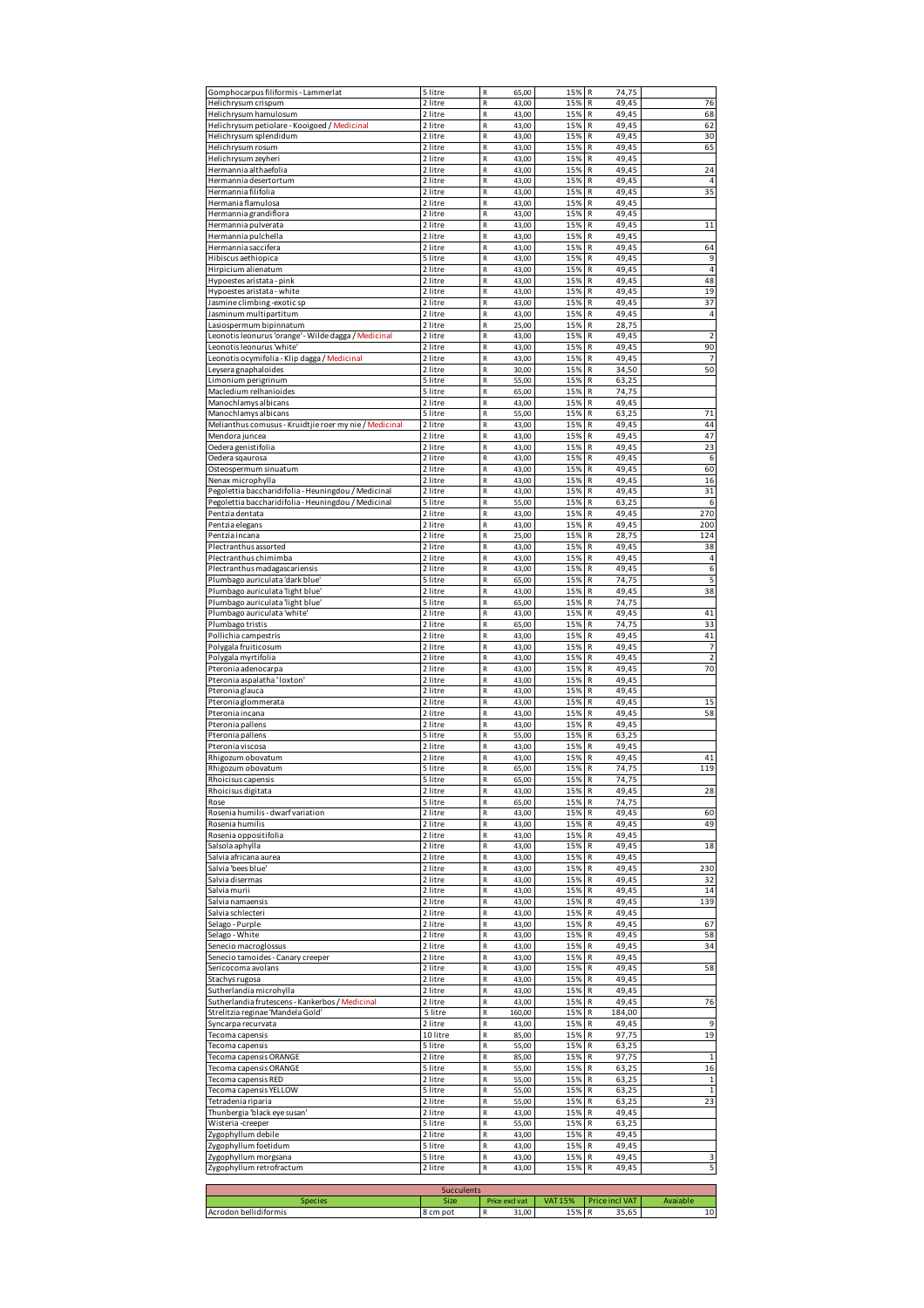| Gomphocarpus filiformis - Lammerlat                                       | 5 litre            | R<br>65,00                                     | 15%                   | 74,75<br>R                                     |                      |
|---------------------------------------------------------------------------|--------------------|------------------------------------------------|-----------------------|------------------------------------------------|----------------------|
| Helichrysum crispum                                                       | 2 litre            | R<br>43,00                                     | 15%                   | 49,45<br>R                                     | 76                   |
| Helichrysum hamulosum<br>Helichrysum petiolare - Kooigoed / Medicinal     | 2 litre<br>2 litre | R<br>43,00<br>R<br>43,00                       | 15%<br>15%            | 49,45<br>R<br>R<br>49,45                       | 68<br>62             |
| Helichrysum splendidum                                                    | 2 litre            | $\mathsf R$<br>43,00                           | 15%                   | R<br>49,45                                     | 30                   |
| Helichrysum rosum                                                         | 2 litre            | R<br>43,00                                     | 15%                   | R<br>49,45                                     | 65                   |
| Helichrysum zeyheri                                                       | 2 litre            | R<br>43,00                                     | 15%                   | 49,45<br>R                                     |                      |
| Hermannia althaefolia                                                     | 2 litre            | R<br>43,00                                     | 15%                   | 49,45<br>R                                     | 24                   |
| Hermannia desertortum<br>Hermannia filifolia                              | 2 litre<br>2 litre | $\mathsf R$<br>43,00<br>$\mathsf R$<br>43,00   | 15%<br>15%            | R<br>49,45<br>R<br>49,45                       | $\overline{4}$<br>35 |
| Hermania flamulosa                                                        | 2 litre            | $\mathsf R$<br>43,00                           | 15%                   | 49,45<br>R                                     |                      |
| Hermannia grandiflora                                                     | 2 litre            | R<br>43,00                                     | 15%                   | 49,45<br>R                                     |                      |
| Hermannia pulverata                                                       | 2 litre            | $\mathsf R$<br>43,00                           | 15%                   | R<br>49,45                                     | 11                   |
| Hermannia pulchella                                                       | 2 litre            | $\mathsf R$<br>43,00                           | 15%                   | R<br>49,45                                     |                      |
| Hermannia saccifera                                                       | 2 litre            | R<br>43,00                                     | 15%                   | 49,45<br>R                                     | 64                   |
| Hibiscus aethiopica                                                       | 5 litre            | R<br>43,00                                     | 15%                   | R<br>49,45                                     | 9<br>$\overline{4}$  |
| Hirpicium alienatum<br>Hypoestes aristata - pink                          | 2 litre<br>2 litre | $\mathsf R$<br>43,00<br>$\mathsf R$<br>43,00   | 15%<br>15%            | R<br>49,45<br>49,45<br>R                       | 48                   |
| Hypoestes aristata - white                                                | 2 litre            | R<br>43,00                                     | 15%                   | 49,45<br>R                                     | 19                   |
| Jasmine climbing-exotic sp                                                | 2 litre            | R<br>43,00                                     | 15%                   | 49,45<br>R                                     | 37                   |
| Jasminum multipartitum                                                    | 2 litre            | $\mathsf R$<br>43,00                           | 15%                   | R<br>49,45                                     | $\overline{4}$       |
| Lasiospermum bipinnatum                                                   | 2 litre            | $\mathsf R$<br>25,00                           | 15%                   | R<br>28,75                                     |                      |
| Leonotis leonurus 'orange' - Wilde dagga / Medicinal                      | 2 litre            | R<br>43,00                                     | 15%                   | 49,45<br>R<br>49,45                            | $\overline{2}$<br>90 |
| Leonotis leonurus 'white'<br>Leonotis ocymifolia - Klip dagga / Medicinal | 2 litre<br>2 litre | R<br>43,00<br>R<br>43,00                       | 15%<br>15%            | R<br>49,45<br>R                                | $\overline{7}$       |
| Leysera gnaphaloides                                                      | 2 litre            | $\mathsf R$<br>30,00                           | 15%                   | R<br>34,50                                     | 50                   |
| Limonium perigrinum                                                       | 5 litre            | R<br>55,00                                     | 15%                   | R<br>63,25                                     |                      |
| Macledium relhanioides                                                    | 5 litre            | R<br>65,00                                     | 15%                   | 74,75<br>R                                     |                      |
| Manochlamys albicans                                                      | 2 litre            | R<br>43,00                                     | 15%                   | 49,45<br>R                                     |                      |
| Manochlamys albicans                                                      | 5 litre            | $\mathsf R$<br>55,00                           | 15%                   | R<br>63,25                                     | 71                   |
| Melianthus comusus - Kruidtjie roer my nie / Medicinal                    | 2 litre<br>2 litre | $\mathsf R$<br>43,00<br>$\mathsf R$            | 15%                   | R<br>49,45<br>49,45<br>R                       | 44<br>47             |
| Mendora juncea<br>Oedera genistifolia                                     | 2 litre            | 43,00<br>R<br>43,00                            | 15%<br>15%            | 49,45<br>R                                     | 23                   |
| Oedera sqaurosa                                                           | 2 litre            | R<br>43,00                                     | 15%                   | R<br>49,45                                     | 6                    |
| Osteospermum sinuatum                                                     | 2 litre            | $\mathsf R$<br>43,00                           | 15%                   | R<br>49,45                                     | 60                   |
| Nenax microphylla                                                         | 2 litre            | R<br>43,00                                     | 15%                   | R<br>49,45                                     | 16                   |
| Pegolettia baccharidifolia - Heuningdou / Medicinal                       | 2 litre            | R<br>43,00                                     | 15%                   | R<br>49,45                                     | 31                   |
| Pegolettia baccharidifolia - Heuningdou / Medicinal                       | 5 litre            | $\mathsf R$<br>55,00                           | 15%                   | R<br>63,25                                     | 6                    |
| Pentzia dentata<br>Pentzia elegans                                        | 2 litre<br>2 litre | $\mathsf R$<br>43,00<br>R<br>43,00             | 15%<br>15%            | R<br>49,45<br>49,45<br>R                       | 270<br>200           |
| Pentzia incana                                                            | 2 litre            | R<br>25,00                                     | 15%                   | 28,75<br>R                                     | 124                  |
| Plectranthus assorted                                                     | 2 litre            | R<br>43,00                                     | 15%                   | R<br>49,45                                     | 38                   |
| Plectranthus chimimba                                                     | 2 litre            | $\mathsf R$<br>43,00                           | 15%                   | R<br>49,45                                     | $\overline{4}$       |
| Plectranthus madagascariensis                                             | 2 litre            | R<br>43,00                                     | 15%                   | R<br>49,45                                     | 6                    |
| Plumbago auriculata 'dark blue'                                           | 5 litre            | R<br>65,00                                     | 15%                   | 74,75<br>R                                     | 5                    |
| Plumbago auriculata 'light blue'                                          | 2 litre<br>5 litre | R<br>43,00<br>$\mathsf R$                      | 15%                   | R<br>49,45<br>R                                | 38                   |
| Plumbago auriculata 'light blue'<br>Plumbago auriculata 'white'           | 2 litre            | 65,00<br>R<br>43,00                            | 15%<br>15%            | 74,75<br>49,45<br>R                            | 41                   |
| Plumbago tristis                                                          | 2 litre            | R<br>65,00                                     | 15%                   | 74,75<br>R                                     | 33                   |
| Pollichia campestris                                                      | 2 litre            | $\mathsf R$<br>43,00                           | 15%                   | R<br>49,45                                     | 41                   |
| Polygala fruiticosum                                                      | 2 litre            | $\mathsf R$<br>43,00                           | 15%                   | 49,45<br>R                                     | $\overline{7}$       |
|                                                                           |                    |                                                |                       |                                                |                      |
| Polygala myrtifolia                                                       | 2 litre            | $\mathsf R$<br>43,00                           | 15%                   | R<br>49,45                                     | $\overline{2}$       |
| Pteronia adenocarpa                                                       | 2 litre            | $\mathsf R$<br>43,00                           | 15%                   | R<br>49,45                                     | 70                   |
| Pteronia aspalatha ' loxton'                                              | 2 litre            | R<br>43,00                                     | 15%                   | 49,45<br>R                                     |                      |
| Pteronia glauca                                                           | 2 litre            | $\mathsf R$<br>43,00                           | 15%                   | R<br>49,45                                     |                      |
| Pteronia glommerata<br>Pteronia incana                                    | 2 litre<br>2 litre | $\mathsf R$<br>43,00<br>R<br>43,00             | 15%<br>15%            | 49,45<br>R<br>49,45<br>R                       | 15<br>58             |
| Pteronia pallens                                                          | 2 litre            | R<br>43,00                                     | 15%                   | R<br>49,45                                     |                      |
| Pteronia pallens                                                          | 5 litre            | $\mathsf R$<br>55,00                           | 15%                   | R<br>63,25                                     |                      |
| Pteronia viscosa                                                          | 2 litre            | $\mathsf R$<br>43,00                           | 15%                   | R<br>49,45                                     |                      |
| Rhigozum obovatum                                                         | 2 litre            | R<br>43,00                                     | 15%                   | 49,45<br>R                                     | 41                   |
| Rhigozum obovatum                                                         | 5 litre            | R<br>65,00                                     | 15%                   | 74,75<br>R                                     | 119                  |
| Rhoicisus capensis<br>Rhoicisus digitata                                  | 5 litre<br>2 litre | $\overline{\mathsf{R}}$<br>65,00<br>43,00<br>R | 15%<br>15%            | R<br>74,75<br>49,45<br>R                       | 28                   |
| Rose                                                                      | 5 litre            | R<br>65,00                                     | 15%                   | 74,75<br>R                                     |                      |
| Rosenia humilis - dwarf variation                                         | 2 litre            | R<br>43,00                                     | 15%                   | 49,45<br>R                                     | 60                   |
| Rosenia humilis                                                           | 2 litre            | R<br>43,00                                     | 15%                   | R<br>49,45                                     | 49                   |
| Rosenia oppositifolia                                                     | 2 litre            | R<br>43,00                                     | 15%                   | 49,45<br>R                                     |                      |
| Salsola aphylla                                                           | 2 litre            | R<br>43,00                                     | 15%                   | 49,45<br>R                                     | 18                   |
| Salvia africana aurea<br>Salvia 'bees blue'                               | 2 litre<br>2 litre | R<br>43,00<br>R<br>43,00                       | 15%<br>15%            | 49,45<br>R<br>R<br>49,45                       | 230                  |
| Salvia disermas                                                           | 2 litre            | R<br>43,00                                     | 15%                   | R<br>49,45                                     | 32                   |
| Salvia murii                                                              | 2 litre            | R<br>43,00                                     | 15%                   | R<br>49,45                                     | 14                   |
| Salvia namaensis                                                          | 2 litre            | R<br>43,00                                     | 15%                   | R<br>49,45                                     | 139                  |
| Salvia schlecteri                                                         | 2 litre            | R<br>43,00                                     | 15%                   | 49,45<br>R                                     |                      |
| Selago - Purple                                                           | 2 litre            | R<br>43,00                                     | 15%                   | 49,45<br>R                                     | 67                   |
| Selago - White<br>Senecio macroglossus                                    | 2 litre<br>2 litre | R<br>43,00<br>$\mathsf R$<br>43,00             | 15%<br>15%            | 49,45<br>R<br>R<br>49,45                       | 58<br>34             |
| Senecio tamoides - Canary creeper                                         | 2 litre            | R<br>43,00                                     | 15%                   | 49,45<br>R                                     |                      |
| Sericocoma avolans                                                        | 2 litre            | R<br>43,00                                     | 15%                   | R<br>49,45                                     | 58                   |
| Stachys rugosa                                                            | 2 litre            | R<br>43,00                                     | 15%                   | 49,45<br>R                                     |                      |
| Sutherlandia microhylla                                                   | 2 litre            | $\mathsf R$<br>43,00                           | 15%                   | 49,45<br>R                                     |                      |
| Sutherlandia frutescens - Kankerbos / Medicinal                           | 2 litre            | R<br>43,00<br>R                                | 15%<br>15%            | 49,45<br>R<br>R                                | 76                   |
| Strelitzia reginae 'Mandela Gold'<br>Syncarpa recurvata                   | 5 litre<br>2 litre | 160,00<br>R<br>43,00                           | 15%                   | 184,00<br>R<br>49,45                           | 9                    |
| Tecoma capensis                                                           | 10 litre           | R<br>85,00                                     | 15%                   | 97,75<br>R                                     | 19                   |
| Tecoma capensis                                                           | 5 litre            | R<br>55,00                                     | 15%                   | 63,25<br>R                                     |                      |
| Tecoma capensis ORANGE                                                    | 2 litre            | R<br>85,00                                     | 15%                   | R<br>97,75                                     | $\mathbf 1$          |
| Tecoma capensis ORANGE                                                    | 5 litre            | R<br>55,00                                     | 15%                   | R<br>63,25                                     | 16                   |
| Tecoma capensis RED                                                       | 2 litre            | R<br>55,00                                     | 15%                   | 63,25<br>R                                     | 1                    |
| Tecoma capensis YELLOW<br>Tetradenia riparia                              | 5 litre<br>2 litre | R<br>55,00<br>R<br>55,00                       | 15%<br>15%            | 63,25<br>R<br>R<br>63,25                       | $\mathbf 1$<br>23    |
| Thunbergia 'black eye susan'                                              | 2 litre            | R<br>43,00                                     | 15%                   | R<br>49,45                                     |                      |
| Wisteria-creeper                                                          | 5 litre            | $\mathsf R$<br>55,00                           | 15%                   | 63,25<br>R                                     |                      |
| Zygophyllum debile                                                        | 2 litre            | R<br>43,00                                     | 15%                   | R<br>49,45                                     |                      |
| Zygophyllum foetidum                                                      | 5 litre            | R<br>43,00                                     | 15%                   | 49,45<br>R                                     |                      |
| Zygophyllum morgsana                                                      | 5 litre            | R<br>43,00<br>R<br>43,00                       | 15%<br>15%            | R<br>49,45<br>R<br>49,45                       | 3<br>5               |
| Zygophyllum retrofractum                                                  | 2 litre            |                                                |                       |                                                |                      |
|                                                                           | Succulents         |                                                |                       |                                                |                      |
| <b>Species</b><br>Acrodon bellidiformis                                   | Size<br>8 cm pot   | Price excl vat<br>${\sf R}$<br>31,00           | <b>VAT 15%</b><br>15% | <b>Price incl VAT</b><br>$\mathbb{R}$<br>35,65 | Avaiable<br>10       |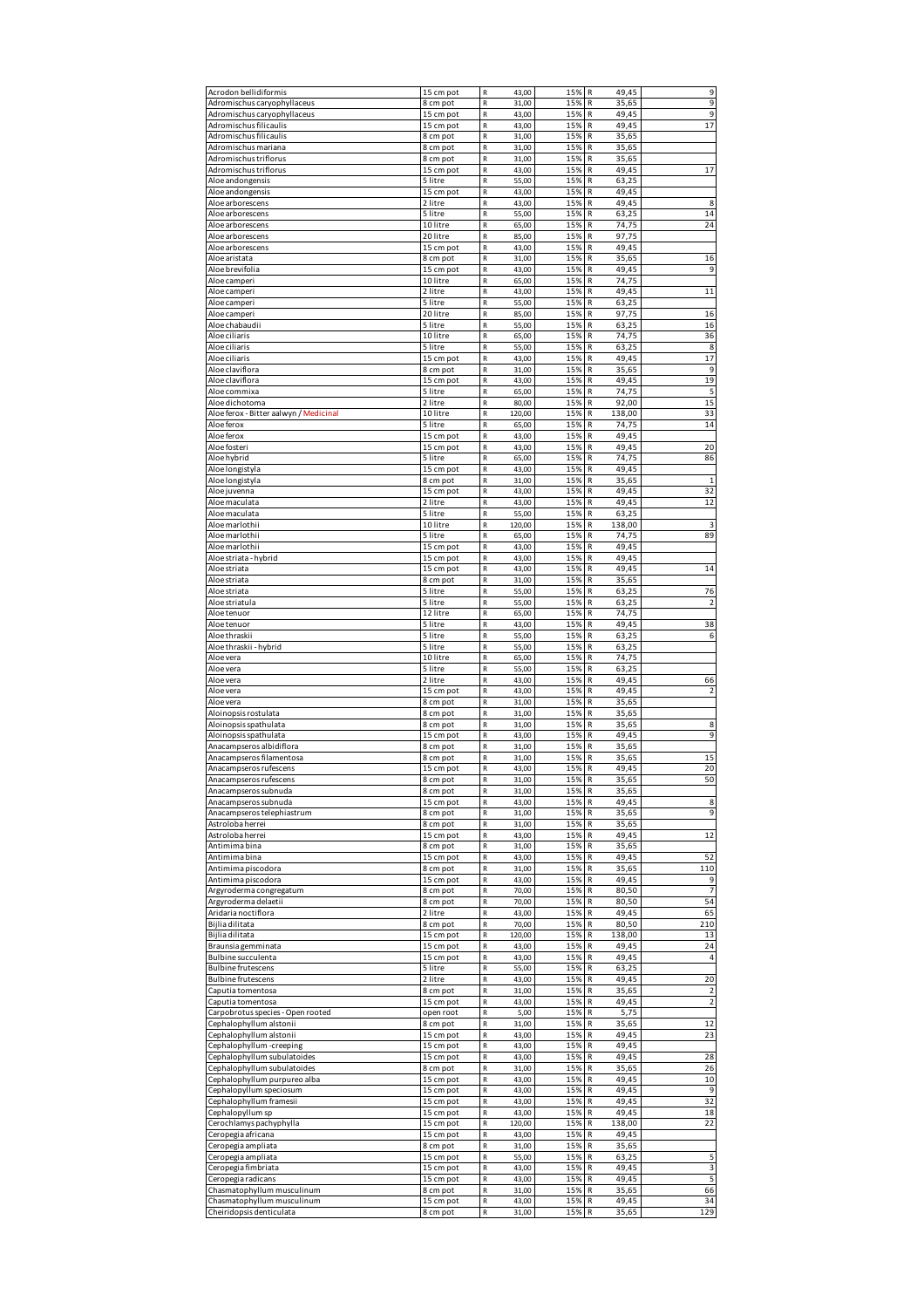| Acrodon bellidiformis                                    | 15 cm pot             | ${\sf R}$<br>43,00                           | 15%        | 49,45<br>R                      | 9                       |
|----------------------------------------------------------|-----------------------|----------------------------------------------|------------|---------------------------------|-------------------------|
| Adromischus caryophyllaceus                              | 8 cm pot              | $\mathsf R$<br>31,00                         | 15%        | R<br>35,65                      | 9                       |
| Adromischus caryophyllaceus                              | 15 cm pot             | $\mathsf R$<br>43,00                         | 15%        | R<br>49,45                      | 9                       |
| Adromischus filicaulis                                   | 15 cm pot             | $\mathsf{R}$<br>43,00                        | 15%        | 49,45<br>R                      | 17                      |
| Adromischus filicaulis                                   | 8 cm pot              | R<br>31,00                                   | 15%        | R<br>35,65                      |                         |
| Adromischus mariana                                      | 8 cm pot              | $\mathsf R$<br>31,00<br>$\mathsf R$          | 15%<br>15% | R<br>35,65<br>R                 |                         |
| Adromischus triflorus<br>Adromischus triflorus           | 8 cm pot<br>15 cm pot | 31,00<br>$\mathsf R$<br>43,00                | 15%        | 35,65<br>R<br>49,45             | 17                      |
| Aloe andongensis                                         | 5 litre               | R<br>55,00                                   | 15%        | 63,25<br>R                      |                         |
| Aloe andongensis                                         | 15 cm pot             | $\mathsf R$<br>43,00                         | 15%        | R<br>49,45                      |                         |
| Aloe arborescens                                         | 2 litre               | $\mathsf R$<br>43,00                         | 15%        | 49,45<br>R                      | 8                       |
| Aloe arborescens                                         | 5 litre               | $\mathsf R$<br>55,00                         | 15%        | R<br>63,25                      | 14                      |
| Aloe arborescens                                         | 10 litre              | R<br>65,00                                   | 15%        | 74,75<br>R                      | 24                      |
| Aloe arborescens                                         | 20 litre              | R<br>85,00                                   | 15%        | 97,75<br>R                      |                         |
| Aloe arborescens                                         | 15 cm pot             | $\mathsf R$<br>43,00                         | 15%        | R<br>49,45                      |                         |
| Aloe aristata                                            | 8 cm pot              | ${\sf R}$<br>31,00                           | 15%        | R<br>35,65<br>49,45             | 16                      |
| Aloe brevifolia<br>Aloe camperi                          | 15 cm pot<br>10 litre | R<br>43,00<br>R<br>65,00                     | 15%<br>15% | R<br>74,75<br>R                 | 9                       |
| Aloe camperi                                             | 2 litre               | $\mathsf R$<br>43,00                         | 15%        | R<br>49,45                      | 11                      |
| Aloe camperi                                             | 5 litre               | $\mathsf R$<br>55,00                         | 15%        | R<br>63,25                      |                         |
| Aloe camperi                                             | 20 litre              | R<br>85,00                                   | 15%        | R<br>97,75                      | 16                      |
| Aloe chabaudii                                           | 5 litre               | R<br>55,00                                   | 15%        | 63,25<br>R                      | 16                      |
| Aloe ciliaris                                            | 10 litre              | $\mathsf R$<br>65,00                         | 15%        | R<br>74,75                      | 36                      |
| Aloe ciliaris                                            | 5 litre               | $\mathsf R$<br>55,00                         | 15%        | R<br>63,25                      | 8                       |
| Aloe ciliaris                                            | 15 cm pot             | $\mathsf{R}$<br>43,00                        | 15%        | 49,45<br>R                      | 17                      |
| Aloe claviflora                                          | 8 cm pot              | R<br>31,00                                   | 15%        | R<br>35,65                      | 9                       |
| Aloe claviflora                                          | 15 cm pot<br>5 litre  | $\mathsf R$<br>43,00                         | 15%        | R<br>49,45                      | 19                      |
| Aloe commixa                                             |                       | $\mathsf R$<br>65,00                         | 15%        | 74,75<br>R                      | 5<br>15                 |
| Aloe dichotoma<br>Aloe ferox - Bitter aalwyn / Medicinal | 2 litre<br>10 litre   | R<br>80,00<br>R<br>120,00                    | 15%<br>15% | R<br>92,00<br>R<br>138,00       | 33                      |
| Aloe ferox                                               | 5 litre               | $\mathsf R$<br>65,00                         | 15%        | R<br>74,75                      | 14                      |
| Aloe ferox                                               | 15 cm pot             | $\mathsf R$<br>43,00                         | 15%        | 49,45<br>R                      |                         |
| Aloe fosteri                                             | 15 cm pot             | $\mathsf R$<br>43,00                         | 15%        | R<br>49,45                      | 20                      |
| Aloe hybrid                                              | 5 litre               | R<br>65,00                                   | 15%        | 74,75<br>R                      | 86                      |
| Aloe longistyla                                          | 15 cm pot             | R<br>43,00                                   | 15%        | 49,45<br>R                      |                         |
| Aloe longistyla                                          | 8 cm pot              | $\mathsf R$<br>31,00                         | 15%        | R<br>35,65                      | $\mathbf{1}$            |
| Aloe juvenna                                             | 15 cm pot             | ${\sf R}$<br>43,00                           | 15%        | R<br>49,45                      | 32                      |
| Aloe maculata                                            | 2 litre               | R<br>43,00                                   | 15%        | 49,45<br>R                      | 12                      |
| Aloe maculata                                            | 5 litre               | R<br>55,00                                   | 15%        | 63,25<br>R                      |                         |
| Aloe marlothii                                           | 10 litre              | $\mathsf R$<br>120,00                        | 15%        | R<br>138,00                     | 3                       |
| Aloe marlothii                                           | 5 litre               | $\mathsf R$<br>65,00                         | 15%        | R<br>74,75                      | 89                      |
| Aloe marlothii                                           | 15 cm pot             | R<br>43,00                                   | 15%        | 49,45<br>R                      |                         |
| Aloe striata - hybrid                                    | 15 cm pot             | R<br>43,00                                   | 15%        | 49,45<br>R                      |                         |
| Aloe striata                                             | 15 cm pot             | $\mathsf R$<br>43,00                         | 15%        | R<br>49,45                      | 14                      |
| Aloe striata                                             | 8 cm pot              | $\mathsf R$<br>31,00                         | 15%        | R<br>35,65                      |                         |
| Aloe striata                                             | 5 litre               | $\mathsf{R}$<br>55,00                        | 15%        | R<br>63,25<br>R                 | 76                      |
| Aloe striatula<br>Aloe tenuor                            | 5 litre<br>12 litre   | R<br>55,00<br>$\mathsf R$<br>65,00           | 15%<br>15% | 63,25<br>R<br>74,75             | $\overline{2}$          |
| Aloe tenuor                                              | 5 litre               | $\mathsf R$<br>43,00                         | 15%        | R<br>49,45                      | 38                      |
| Aloe thraskii                                            | 5 litre               | $\mathsf{R}$<br>55,00                        | 15%        | 63,25<br>R                      | 6                       |
| Aloe thraskii - hybrid                                   | 5 litre               | R<br>55,00                                   | 15%        | R<br>63,25                      |                         |
|                                                          |                       |                                              |            |                                 |                         |
|                                                          |                       |                                              |            |                                 |                         |
| Aloe vera<br>Aloe vera                                   | 10 litre<br>5 litre   | $\mathsf R$<br>65,00<br>$\mathsf R$<br>55,00 | 15%<br>15% | R<br>74,75<br>R<br>63,25        |                         |
| Aloe vera                                                | 2 litre               | $\mathsf R$<br>43,00                         | 15%        | R<br>49,45                      | 66                      |
| Aloe vera                                                | 15 cm pot             | $\mathsf R$<br>43,00                         | 15%        | 49,45<br>R                      | $\mathcal{P}$           |
| Aloe vera                                                | 8 cm pot              | R<br>31,00                                   | 15%        | R<br>35,65                      |                         |
| Aloinopsis rostulata                                     | 8 cm pot              | $\mathsf R$<br>31,00                         | 15%        | R<br>35,65                      |                         |
| Aloinopsis spathulata                                    | 8 cm pot              | ${\sf R}$<br>31,00                           | 15%        | R<br>35,65                      | 8                       |
| Aloinopsis spathulata                                    | 15 cm pot             | R<br>43,00                                   | 15%        | 49,45<br>R                      | 9                       |
| Anacampseros albidiflora                                 | 8 cm pot              | R<br>31,00                                   | 15%        | 35,65<br>R                      |                         |
| Anacampseros filamentosa                                 | 8 cm pot              | $\mathsf{R}$<br>31,00                        | 15%        | 35,65<br>R                      | 15                      |
| Anacampseros rufescens                                   | 15 cm pot             | $\mathsf R$<br>43,00                         | 15%        | R<br>49,45                      | 20                      |
| Anacampseros rufescens                                   | 8 cm pot              | 31,00                                        | 15%        | R<br>35,65                      | 50                      |
| Anacampseros subnuda                                     | 8 cm pot              | R<br>31,00                                   | 15%        | R<br>35,65                      |                         |
| Anacampseros subnuda<br>Anacampseros telephiastrum       | 15 cm pot             | ${\sf R}$<br>43,00<br>${\sf R}$              | 15%        | ${\sf R}$<br>49,45<br>${\sf R}$ | 8<br>9                  |
| Astroloba herrei                                         | 8 cm pot<br>8 cm pot  | 31,00<br>$\mathsf R$<br>31,00                | 15%<br>15% | 35,65<br>35,65<br>R             |                         |
| Astroloba herrei                                         | 15 cm pot             | R<br>43,00                                   | 15%        | R<br>49,45                      | 12                      |
| Antimima bina                                            | 8 cm pot              | ${\sf R}$<br>31,00                           | 15%        | ${\sf R}$<br>35,65              |                         |
| Antimima bina                                            | 15 cm pot             | ${\sf R}$<br>43,00                           | 15%        | 49,45<br>R                      | 52                      |
| Antimima piscodora                                       | 8 cm pot              | R<br>31,00                                   | 15%        | R<br>35,65                      | 110                     |
| Antimima piscodora                                       | 15 cm pot             | R<br>43,00                                   | 15%        | 49,45<br>R                      | 9                       |
| Argyroderma congregatum                                  | 8 cm pot              | R<br>70,00                                   | 15%        | ${\sf R}$<br>80,50              | $\overline{7}$          |
| Argyroderma delaetii                                     | 8 cm pot              | ${\sf R}$<br>70,00                           | 15%        | ${\sf R}$<br>80,50              | 54                      |
| Aridaria noctiflora                                      | 2 litre               | ${\sf R}$<br>43,00                           | 15%        | R<br>49,45                      | 65                      |
| Bijlia dilitata                                          | 8 cm pot              | R<br>70,00                                   | 15%        | 80,50<br>R                      | 210                     |
| Bijlia dilitata                                          | 15 cm pot             | ${\sf R}$<br>120,00                          | 15%        | 138,00<br>R                     | 13                      |
| Braunsia gemminata                                       | 15 cm pot             | ${\sf R}$<br>43,00                           | 15%        | $\mathsf{R}$<br>49,45           | 24<br>$\overline{4}$    |
| Bulbine succulenta<br><b>Bulbine frutescens</b>          | 15 cm pot<br>5 litre  | ${\sf R}$<br>43,00<br>R<br>55,00             | 15%<br>15% | R<br>49,45<br>63,25<br>R        |                         |
| <b>Bulbine frutescens</b>                                | 2 litre               | R<br>43,00                                   | 15%        | 49,45<br>R                      | 20                      |
| Caputia tomentosa                                        | 8 cm pot              | $\mathsf R$<br>31,00                         | 15%        | ${\sf R}$<br>35,65              | $\overline{2}$          |
| Caputia tomentosa                                        | 15 cm pot             | ${\sf R}$<br>43,00                           | 15%        | R<br>49,45                      | $\overline{\mathbf{c}}$ |
| Carpobrotus species - Open rooted                        | open root             | 5,00<br>${\sf R}$                            | 15%        | 5,75<br>R                       |                         |
| Cephalophyllum alstonii                                  | 8 cm pot              | R<br>31,00                                   | 15%        | R<br>35,65                      | 12                      |
| Cephalophyllum alstonii                                  | 15 cm pot             | ${\sf R}$<br>43,00                           | 15%        | ${\sf R}$<br>49,45              | 23                      |
| Cephalophyllum -creeping                                 | 15 cm pot             | ${\sf R}$<br>43,00                           | 15%        | ${\sf R}$<br>49,45              |                         |
| Cephalophyllum subulatoides                              | 15 cm pot             | $\mathsf R$<br>43,00                         | 15%        | 49,45<br>R                      | 28                      |
| Cephalophyllum subulatoides                              | 8 cm pot              | R<br>31,00                                   | 15%        | R<br>35,65                      | 26                      |
| Cephalophyllum purpureo alba                             | 15 cm pot             | ${\sf R}$<br>43,00                           | 15%        | ${\sf R}$<br>49,45              | 10                      |
| Cephalopyllum speciosum                                  | 15 cm pot             | ${\sf R}$<br>43,00                           | 15%        | 49,45<br>R                      | 9                       |
| Cephalophyllum framesii                                  | 15 cm pot             | R<br>43,00                                   | 15%        | 49,45<br>R                      | 32                      |
| Cephalopyllum sp                                         | 15 cm pot             | R<br>43,00                                   | 15%        | 49,45<br>R                      | 18                      |
| Cerochlamys pachyphylla                                  | 15 cm pot             | R<br>120,00                                  | 15%        | ${\sf R}$<br>138,00             | 22                      |
| Ceropegia africana                                       | 15 cm pot             | ${\sf R}$<br>43,00<br>${\sf R}$              | 15%<br>15% | 49,45<br>${\sf R}$<br>R         |                         |
| Ceropegia ampliata<br>Ceropegia ampliata                 | 8 cm pot<br>15 cm pot | 31,00<br>R<br>55,00                          | 15%        | 35,65<br>63,25<br>R             | 5                       |
| Ceropegia fimbriata                                      | 15 cm pot             | ${\sf R}$<br>43,00                           | 15%        | 49,45<br>R                      | 3                       |
| Ceropegia radicans                                       | 15 cm pot             | ${\sf R}$<br>43,00                           | 15%        | 49,45<br>$\mathsf{R}$           | 5                       |
| Chasmatophyllum musculinum                               | 8 cm pot              | ${\sf R}$<br>31,00                           | 15%        | R<br>35,65                      | 66                      |
| Chasmatophyllum musculinum<br>Cheiridopsis denticulata   | 15 cm pot             | ${\sf R}$<br>43,00<br>R                      | 15%<br>15% | 49,45<br>R<br>R<br>35,65        | 34<br>129               |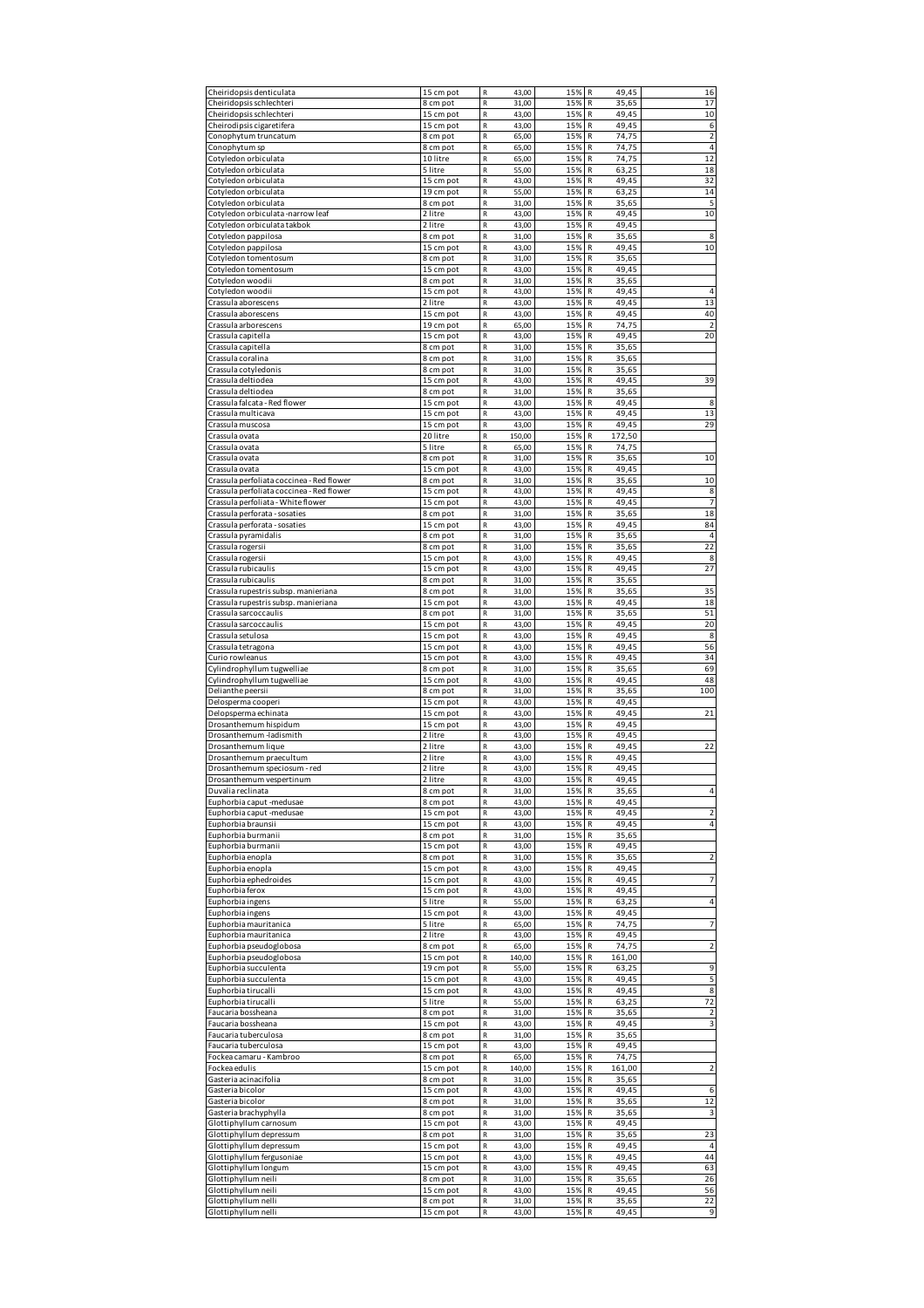| Cheiridopsis denticulata                             | 15 cm pot              | R<br>43,00                          | 15%        | 49,45<br>R               | 16                      |
|------------------------------------------------------|------------------------|-------------------------------------|------------|--------------------------|-------------------------|
| Cheiridopsis schlechteri                             | 8 cm pot               | R<br>31,00                          | 15%        | R<br>35,65               | 17                      |
| Cheiridopsis schlechteri                             | 15 cm pot              | $\mathsf R$<br>43,00                | 15%        | R<br>49,45               | 10                      |
| Cheirodipsis cigaretifera                            | 15 cm pot              | $\mathsf R$<br>43,00                | 15%        | 49,45<br>R               | 6                       |
| Conophytum truncatum                                 | 8 cm pot               | R<br>65,00                          | 15%        | R<br>74,75               | $\overline{\mathbf{c}}$ |
| Conophytum sp                                        | 8 cm pot               | R<br>65,00                          | 15%        | R<br>74,75               | $\overline{4}$          |
| Cotyledon orbiculata                                 | 10 litre               | $\overline{\mathsf{R}}$<br>65,00    | 15%        | 74,75<br>R               | 12                      |
| Cotyledon orbiculata                                 | 5 litre                | $\mathsf R$<br>55,00                | 15%        | R<br>63.25               | 18                      |
| Cotyledon orbiculata                                 | 15 cm pot              | R<br>43,00                          | 15%        | R<br>49,45               | 32                      |
| Cotyledon orbiculata                                 | 19 cm pot              | R<br>55,00                          | 15%        | R<br>63,25               | 14                      |
| Cotyledon orbiculata                                 | 8 cm pot               | R<br>31,00                          | 15%        | R<br>35,65               | 5                       |
| Cotyledon orbiculata -narrow leaf                    | 2 litre                | $\mathsf R$<br>43,00                | 15%        | 49,45<br>R               | 10                      |
| Cotyledon orbiculata takbok                          | 2 litre                | $\mathsf R$<br>43,00                | 15%        | 49,45<br>R               |                         |
| Cotyledon pappilosa                                  | 8 cm pot               | R<br>31,00                          | 15%        | R<br>35,65               | 8                       |
| Cotyledon pappilosa                                  | 15 cm pot              | R<br>43,00                          | 15%        | R<br>49,45               | 10                      |
| Cotyledon tomentosum                                 | 8 cm pot               | R<br>31,00                          | 15%        | R<br>35,65               |                         |
| Cotyledon tomentosum                                 | 15 cm pot              | R<br>43,00                          | 15%        | R<br>49.45               |                         |
| Cotyledon woodii                                     | 8 cm pot               | R<br>31,00                          | 15%        | R<br>35,65               |                         |
| Cotyledon woodii                                     | 15 cm pot              | R<br>43,00                          | 15%        | 49,45<br>R               | $\overline{4}$          |
| Crassula aborescens                                  | 2 litre                | $\mathsf R$<br>43,00                | 15%        | R<br>49,45               | 13                      |
| Crassula aborescens                                  | 15 cm pot              | R<br>43,00                          | 15%        | 49,45<br>R               | 40                      |
| Crassula arborescens                                 | 19 cm pot              | R<br>65,00                          | 15%        | 74,75<br>R               | $\overline{2}$          |
| Crassula capitella<br>Crassula capitella             | 15 cm pot              | R<br>43,00<br>$\mathsf R$<br>31,00  | 15%<br>15% | R<br>49,45<br>R<br>35,65 | 20                      |
| Crassula coralina                                    | 8 cm pot<br>8 cm pot   | $\mathsf R$<br>31,00                | 15%        | R<br>35,65               |                         |
| Crassula cotyledonis                                 | 8 cm pot               | R<br>31,00                          | 15%        | R<br>35,65               |                         |
| Crassula deltiodea                                   | 15 cm pot              | R<br>43,00                          | 15%        | R<br>49,45               | 39                      |
| Crassula deltiodea                                   | 8 cm pot               | $\mathsf R$<br>31,00                | 15%        | R<br>35,65               |                         |
| Crassula falcata - Red flower                        | 15 cm pot              | $\mathsf R$<br>43,00                | 15%        | R<br>49,45               | 8                       |
| Crassula multicava                                   | 15 cm pot              | R<br>43,00                          | 15%        | R<br>49.45               | 13                      |
| Crassula muscosa                                     | 15 cm pot              | R<br>43,00                          | 15%        | R<br>49,45               | 29                      |
| Crassula ovata                                       | 20 litre               | $\mathsf R$<br>150,00               | 15%        | R<br>172,50              |                         |
| Crassula ovata                                       | 5 litre                | $\mathsf R$<br>65,00                | 15%        | 74,75<br>R               |                         |
| Crassula ovata                                       | 8 cm pot               | R<br>31,00                          | 15%        | 35,65<br>R               | 10                      |
| Crassula ovata                                       | 15 cm pot              | R<br>43,00                          | 15%        | 49,45<br>R               |                         |
| Crassula perfoliata coccinea - Red flower            | 8 cm pot               | R<br>31,00                          | 15%        | R<br>35,65               | 10                      |
| Crassula perfoliata coccinea - Red flower            | 15 cm pot              | R<br>43,00                          | 15%        | R<br>49,45               | 8                       |
| Crassula perfoliata - White flower                   | 15 cm pot              | R<br>43,00                          | 15%        | R<br>49.45               | $\overline{7}$          |
| Crassula perforata - sosaties                        | 8 cm pot               | R<br>31,00                          | 15%        | R<br>35,65               | 18                      |
| Crassula perforata - sosaties                        | 15 cm pot              | R<br>43,00                          | 15%        | R<br>49,45               | 84                      |
| Crassula pyramidalis                                 | 8 cm pot               | $\mathsf R$<br>31,00                | 15%        | R<br>35,65               | $\overline{4}$          |
| Crassula rogersii                                    | 8 cm pot               | R<br>31,00                          | 15%        | R<br>35,65               | 22                      |
| Crassula rogersii                                    | 15 cm pot              | R<br>43,00                          | 15%        | 49,45<br>R               | 8                       |
| Crassula rubicaulis                                  | 15 cm pot              | $\mathsf R$<br>43,00                | 15%        | R<br>49,45               | 27                      |
| Crassula rubicaulis                                  | 8 cm pot               | $\mathsf R$<br>31,00                | 15%        | R<br>35,65               |                         |
| Crassula rupestris subsp. manieriana                 | 8 cm pot               | $\mathsf R$<br>31,00                | 15%        | R<br>35,65               | 35                      |
| Crassula rupestris subsp. manieriana                 | 15 cm pot              | R<br>43,00                          | 15%        | R<br>49,45               | 18                      |
| Crassula sarcoccaulis                                | 8 cm pot               | R<br>31,00                          | 15%        | R<br>35,65               | 51                      |
| Crassula sarcoccaulis                                | 15 cm pot              | $\mathsf R$<br>43,00<br>$\mathsf R$ | 15%<br>15% | R<br>49,45<br>49,45      | 20<br>8                 |
| Crassula setulosa                                    | 15 cm pot              | 43,00                               | 15%        | R<br>R<br>49,45          | 56                      |
| Crassula tetragona                                   | 15 cm pot<br>15 cm pot | R<br>43,00<br>R                     |            | R<br>49,45               | 34                      |
|                                                      |                        |                                     |            |                          |                         |
| Curio rowleanus                                      |                        | 43,00                               | 15%        |                          |                         |
| Cylindrophyllum tugwelliae                           | 8 cm pot               | $\mathsf R$<br>31,00                | 15%        | R<br>35,65               | 69                      |
| Cylindrophyllum tugwelliae                           | 15 cm pot              | $\mathsf R$<br>43,00                | 15%        | 49,45<br>R               | 48                      |
| Delianthe peersii                                    | 8 cm pot               | R<br>31,00                          | 15%        | 35,65<br>R               | 100                     |
| Delosperma cooperi                                   | 15 cm pot              | R<br>43,00<br>R                     | 15%<br>15% | 49,45<br>R<br>R          |                         |
| Delopsperma echinata<br>Drosanthemum hispidum        | 15 cm pot<br>15 cm pot | 43,00<br>R<br>43,00                 | 15%        | 49,45<br>R<br>49,45      | 21                      |
| Drosanthemum-ladismith                               | 2 litre                | R<br>43,00                          | 15%        | 49,45<br>R               |                         |
| Drosanthemum lique                                   | 2 litre                | R<br>43,00                          | 15%        | R<br>49,45               | 22                      |
| Drosanthemum praecultum                              | 2 litre                | $\mathsf R$<br>43,00                | 15%        | 49,45<br>R               |                         |
| Drosanthemum speciosum - red                         | 2 litre                | $\mathsf R$<br>43,00                | 15%        | R<br>49,45               |                         |
| Drosanthemum vespertinum                             | 2 litre                | 43,00                               | 15%        | R<br>49,45               |                         |
| Duvalia reclinata                                    | 8 cm pot               | R<br>31,00                          | 15%        | R<br>35,65               | $\sqrt{4}$              |
| Euphorbia caput -medusae                             | 8 cm pot               | R<br>43,00                          | 15%        | ${\sf R}$<br>49,45       |                         |
| Euphorbia caput -medusae                             | 15 cm pot              | R<br>43,00                          | 15%        | R<br>49,45               | $\overline{2}$          |
| Euphorbia braunsii                                   | 15 cm pot              | $\mathsf R$<br>43,00                | 15%        | 49,45<br>R               | 4                       |
| Euphorbia burmanii                                   | 8 cm pot               | R<br>31,00                          | 15%        | R<br>35,65               |                         |
| Euphorbia burmanii                                   | 15 cm pot              | R<br>43,00                          | 15%        | R<br>49,45               |                         |
| Euphorbia enopla                                     | 8 cm pot               | R<br>31,00                          | 15%        | R<br>35,65               | 2                       |
| Euphorbia enopla                                     | 15 cm pot              | R<br>43,00                          | 15%        | 49,45<br>R               |                         |
| Euphorbia ephedroides                                | 15 cm pot              | R<br>43,00                          | 15%        | 49,45<br>R               | 7                       |
| Euphorbia ferox                                      | 15 cm pot              | R<br>43,00                          | 15%        | R<br>49,45               |                         |
| Euphorbia ingens                                     | 5 litre                | R<br>55,00                          | 15%        | R<br>63,25               | $\overline{4}$          |
| Euphorbia ingens                                     | 15 cm pot<br>5 litre   | R<br>43,00                          | 15%        | 49,45<br>R<br>R          | $\overline{7}$          |
| Euphorbia mauritanica                                | 2 litre                | R<br>65,00<br>R<br>43,00            | 15%<br>15% | 74,75<br>49,45<br>R      |                         |
| Euphorbia mauritanica<br>Euphorbia pseudoglobosa     | 8 cm pot               | R<br>65,00                          | 15%        | R<br>74,75               | $\mathbf 2$             |
| Euphorbia pseudoglobosa                              | 15 cm pot              | R<br>140,00                         | 15%        | R<br>161,00              |                         |
| Euphorbia succulenta                                 | 19 cm pot              | R<br>55,00                          | 15%        | 63,25<br>R               | 9                       |
| Euphorbia succulenta                                 | 15 cm pot              | R<br>43,00                          | 15%        | R<br>49,45               | 5                       |
| Euphorbia tirucalli                                  | 15 cm pot              | R<br>43,00                          | 15%        | 49,45<br>R               | 8                       |
| Euphorbia tirucalli                                  | 5 litre                | R<br>55,00                          | 15%        | R<br>63,25               | 72                      |
| Faucaria bossheana                                   | 8 cm pot               | R<br>31,00                          | 15%        | R<br>35,65               | $\overline{2}$          |
| Faucaria bossheana                                   | 15 cm pot              | R<br>43,00                          | 15%        | 49,45<br>R               | 3                       |
| Faucaria tuberculosa                                 | 8 cm pot               | R<br>31,00                          | 15%        | 35,65<br>R               |                         |
| Faucaria tuberculosa                                 | 15 cm pot              | R<br>43,00                          | 15%        | R<br>49,45               |                         |
| Fockea camaru - Kambroo                              | 8 cm pot               | $\mathsf R$<br>65,00                | 15%        | 74,75<br>R               |                         |
| Fockea edulis                                        | 15 cm pot              | R<br>140,00                         | 15%        | R<br>161,00              | $\mathbf 2$             |
| Gasteria acinacifolia                                | 8 cm pot               | R<br>31,00                          | 15%        | 35,65<br>R               |                         |
| Gasteria bicolor                                     | 15 cm pot              | R<br>43,00                          | 15%        | R<br>49,45               | 6                       |
| Gasteria bicolor                                     | 8 cm pot               | $\mathsf R$<br>31,00                | 15%        | R<br>35,65               | 12                      |
| Gasteria brachyphylla                                | 8 cm pot               | R<br>31,00<br>R                     | 15%        | 35,65<br>R<br>R          | 3                       |
| Glottiphyllum carnosum                               | 15 cm pot              | 43,00                               | 15%        | 49,45                    |                         |
| Glottiphyllum depressum                              | 8 cm pot               | R<br>31,00<br>R                     | 15%<br>15% | R<br>35,65<br>R<br>49,45 | 23<br>$\overline{4}$    |
| Glottiphyllum depressum<br>Glottiphyllum fergusoniae | 15 cm pot<br>15 cm pot | 43,00<br>R<br>43,00                 | 15%        | 49,45<br>R               | 44                      |
| Glottiphyllum longum                                 | 15 cm pot              | R<br>43,00                          | 15%        | 49,45<br>R               | 63                      |
| Glottiphyllum neili                                  | 8 cm pot               | R<br>31,00                          | 15%        | R<br>35,65               | 26                      |
| Glottiphyllum neili                                  | 15 cm pot              | R<br>43,00                          | 15%        | 49,45<br>R               | 56                      |
| Glottiphyllum nelli<br>Glottiphyllum nelli           | 8 cm pot               | $\mathsf R$<br>31,00<br>R<br>43,00  | 15%<br>15% | 35,65<br>R<br>R<br>49,45 | 22<br>9                 |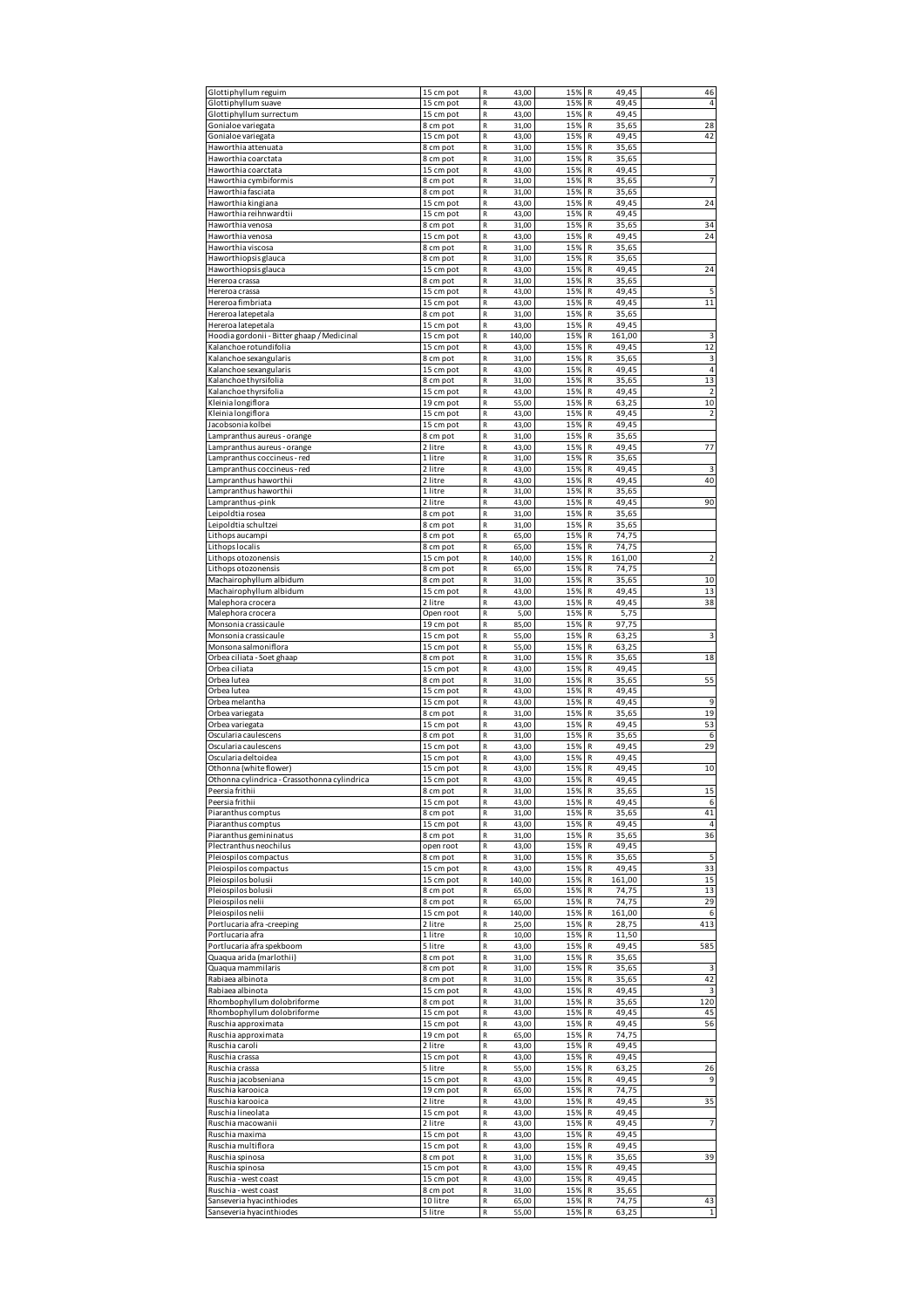| Glottiphyllum reguim                                 | 15 cm pot             | R<br>43,00                                 | 15%        | 49,45<br>R               | 46                      |
|------------------------------------------------------|-----------------------|--------------------------------------------|------------|--------------------------|-------------------------|
| Glottiphyllum suave                                  | 15 cm pot             | ${\sf R}$<br>43,00                         | 15%        | 49,45<br>R               | $\overline{4}$          |
| Glottiphyllum surrectum                              | 15 cm pot             | ${\sf R}$<br>43,00                         | 15%        | R<br>49,45               |                         |
| Gonialoe variegata                                   | 8 cm pot              | $\mathsf R$<br>31,00                       | 15%        | R<br>35,65               | 28                      |
| Gonialoe variegata                                   | 15 cm pot             | $\mathsf R$<br>43,00                       | 15%        | 49,45<br>R               | 42                      |
| Haworthia attenuata                                  | 8 cm pot              | ${\sf R}$<br>31,00                         | 15%        | R<br>35,65               |                         |
| Haworthia coarctata                                  | 8 cm pot              | ${\sf R}$<br>31,00                         | 15%        | R<br>35,65               |                         |
| Haworthia coarctata                                  | 15 cm pot             | ${\sf R}$<br>43,00                         | 15%        | R<br>49,45               |                         |
| Haworthia cymbiformis                                | 8 cm pot              | $\mathsf R$<br>31,00                       | 15%        | R<br>35,65               | $\overline{7}$          |
| Haworthia fasciata                                   | 8 cm pot              | ${\sf R}$<br>31,00                         | 15%        | R<br>35,65               |                         |
| Haworthia kingiana                                   | 15 cm pot             | R<br>43,00                                 | 15%        | R<br>49,45               | 24                      |
| Haworthia reihnwardtii                               | 15 cm pot             | $\mathsf{R}$<br>43,00                      | 15%        | R<br>49,45               |                         |
| Haworthia venosa                                     | 8 cm pot              | ${\sf R}$<br>31,00                         | 15%        | R<br>35,65               | 34                      |
|                                                      | 15 cm pot             | ${\sf R}$                                  | 15%        | R                        | 24                      |
| Haworthia venosa                                     |                       | 43,00<br>${\sf R}$                         | 15%        | 49,45<br>R<br>35,65      |                         |
| Haworthia viscosa<br>Haworthiopsis glauca            | 8 cm pot              | 31,00<br>${\sf R}$                         | 15%        | R<br>35,65               |                         |
|                                                      | 8 cm pot              | 31,00<br>${\sf R}$<br>43,00                | 15%        | R<br>49,45               | 24                      |
| Haworthiopsis glauca<br>Hereroa crassa               | 15 cm pot<br>8 cm pot |                                            | 15%        |                          |                         |
|                                                      |                       | ${\sf R}$<br>31,00                         |            | 35,65<br>R               |                         |
| Hereroa crassa                                       | 15 cm pot             | ${\sf R}$<br>43,00                         | 15%        | 49,45<br>R               | 5                       |
| Hereroa fimbriata                                    | 15 cm pot             | $\mathsf R$<br>43,00                       | 15%        | R<br>49,45               | 11                      |
| Hereroa latepetala                                   | 8 cm pot              | ${\sf R}$<br>31,00                         | 15%        | R<br>35,65               |                         |
| Hereroa latepetala                                   | 15 cm pot             | ${\sf R}$<br>43,00                         | 15%        | R<br>49,45               |                         |
| Hoodia gordonii - Bitter ghaap / Medicinal           | 15 cm pot             | ${\sf R}$<br>140,00                        | 15%        | R<br>161,00              | 3                       |
| Kalanchoe rotundifolia                               | 15 cm pot             | ${\sf R}$<br>43,00                         | 15%        | R<br>49,45               | 12                      |
| Kalanchoe sexangularis                               | 8 cm pot              | ${\sf R}$<br>31,00                         | 15%        | R<br>35,65               | 3                       |
| Kalanchoe sexangularis                               | 15 cm pot             | $\mathsf R$<br>43,00                       | 15%        | R<br>49,45               | $\overline{4}$          |
| Kalanchoe thyrsifolia                                | 8 cm pot              | ${\sf R}$<br>31,00                         | 15%        | R<br>35,65               | 13                      |
| Kalanchoe thyrsifolia                                | 15 cm pot             | ${\sf R}$<br>43,00                         | 15%        | R<br>49,45               | $\overline{\mathbf{c}}$ |
| Kleinia longiflora                                   | 19 cm pot             | ${\sf R}$<br>55,00                         | 15%        | R<br>63,25               | 10                      |
| Kleinia longiflora                                   | 15 cm pot             | $\mathsf R$<br>43,00                       | 15%        | R<br>49,45               | $\overline{2}$          |
| Jacobsonia kolbei                                    | 15 cm pot             | ${\sf R}$<br>43,00                         | 15%        | R<br>49,45               |                         |
| Lampranthus aureus - orange                          | 8 cm pot              | ${\sf R}$<br>31,00                         | 15%        | R<br>35,65               |                         |
| Lampranthus aureus - orange                          | 2 litre               | ${\sf R}$<br>43,00                         | 15%        | R<br>49,45               | 77                      |
| Lampranthus coccineus - red                          | 1 litre               | R<br>31,00                                 | 15%        | R<br>35,65               |                         |
| Lampranthus coccineus - red                          | 2 litre               | ${\sf R}$<br>43,00                         | 15%        | R<br>49,45               | 3                       |
| Lampranthus haworthii                                | 2 litre               | ${\sf R}$<br>43,00                         | 15%        | 49,45<br>R               | 40                      |
| Lampranthus haworthii                                | 1 litre               | ${\sf R}$<br>31,00                         | 15%        | R<br>35,65               |                         |
| Lampranthus-pink                                     | 2 litre               | ${\sf R}$<br>43,00                         | 15%        | R<br>49.45               | 90                      |
| Leipoldtia rosea                                     | 8 cm pot              | ${\sf R}$<br>31,00                         | 15%        | 35,65<br>R               |                         |
| Leipoldtia schultzei                                 | 8 cm pot              | ${\sf R}$<br>31,00                         | 15%        | R<br>35,65               |                         |
| Lithops aucampi                                      | 8 cm pot              | $\mathsf R$<br>65,00                       | 15%        | R<br>74,75               |                         |
| Lithops localis                                      | 8 cm pot              | $\mathsf R$<br>65,00                       | 15%        | R<br>74,75               |                         |
| Lithops otozonensis                                  | 15 cm pot             | R<br>140,00                                | 15%        | R<br>161,00              | $\overline{2}$          |
| Lithops otozonensis                                  | 8 cm pot              | ${\sf R}$<br>65,00                         | 15%        | R<br>74,75               |                         |
| Machairophyllum albidum                              | 8 cm pot              | ${\sf R}$<br>31,00                         | 15%        | R<br>35,65               | 10                      |
| Machairophyllum albidum                              | 15 cm pot             | $\mathsf R$<br>43,00                       | 15%        | R<br>49,45               | 13                      |
| Malephora crocera                                    | 2 litre               | $\mathsf R$<br>43,00                       | 15%        | 49,45<br>R               | 38                      |
| Malephora crocera                                    | Open root             | ${\sf R}$<br>5,00                          | 15%        | 5,75<br>R                |                         |
| Monsonia crassicaule                                 | 19 cm pot             | ${\sf R}$<br>85,00                         | 15%        | R<br>97,75               |                         |
| Monsonia crassicaule                                 | 15 cm pot             | ${\sf R}$<br>55,00                         | 15%        | R<br>63,25               | 3                       |
| Monsona salmoniflora                                 |                       | $\mathsf R$<br>55,00                       | 15%        | R<br>63,25               |                         |
|                                                      | 15 cm pot             |                                            |            |                          | 18                      |
|                                                      |                       |                                            |            |                          |                         |
| Orbea ciliata - Soet ghaap                           | 8 cm pot              | ${\sf R}$<br>31,00                         | 15%        | R<br>35,65               |                         |
| Orbea ciliata                                        | 15 cm pot             | ${\sf R}$<br>43,00                         | 15%        | R<br>49,45               |                         |
| Orbea lutea                                          | 8 cm pot              | $\mathsf{R}$<br>31,00                      | 15%        | R<br>35,65               | 55                      |
| Orbea lutea                                          | 15 cm pot             | $\mathsf R$<br>43,00                       | 15%        | R<br>49,45               |                         |
| Orbea melantha                                       | 15 cm pot             | R<br>43,00                                 | 15%        | R<br>49,45               | 9                       |
| Orbea variegata                                      | 8 cm pot              | ${\sf R}$<br>31,00                         | 15%        | R<br>35,65               | 19                      |
| Orbea variegata                                      | 15 cm pot             | $\mathsf R$<br>43,00                       | 15%        | R<br>49,45               | 53                      |
| Oscularia caulescens                                 | 8 cm pot              | $\mathsf R$<br>31,00                       | 15%        | R<br>35,65               | 6                       |
| Oscularia caulescens                                 | 15 cm pot             | $\mathsf R$<br>43,00                       | 15%        | 49,45<br>R               | 29                      |
| Oscularia deltoidea                                  | 15 cm pot             | R<br>43,00                                 | 15%        | 49,45<br>R               |                         |
| Othonna (white flower)                               | 15 cm pot             | $\mathsf R$<br>43,00                       | 15%        | R<br>49,45               | 10                      |
| Othonna cylindrica - Crassothonna cylindrica         | 15 cm not             | 43.00                                      | 15%        | R<br>49.45               |                         |
| Peersia frithii                                      | 8 cm pot              | $\mathsf R$<br>31,00                       | 15%        | R<br>35,65               | 15                      |
| Peersia frithii                                      | 15 cm pot             | ${\sf R}$<br>43,00                         | 15%        | 49,45<br>R               | 6                       |
| Piaranthus comptus                                   | 8 cm pot              | ${\sf R}$<br>31,00                         | 15%        | R<br>35,65               | 41                      |
| Piaranthus comptus                                   | 15 cm pot             | $\mathsf R$<br>43,00                       | 15%        | R<br>49,45               | $\sqrt{4}$              |
| Piaranthus gemininatus                               | 8 cm pot              | $\mathsf R$<br>31,00                       | 15%        | 35,65<br>R               | 36                      |
| Plectranthus neochilus                               | open root             | ${\sf R}$<br>43,00                         | 15%        | 49,45<br>R               |                         |
| Pleiospilos compactus                                | 8 cm pot              | ${\sf R}$<br>31,00                         | 15%        | R<br>35,65               | 5                       |
| Pleiospilos compactus                                | 15 cm pot             | ${\sf R}$<br>43,00                         | 15%        | R<br>49,45               | 33                      |
| Pleiospilos bolusii                                  | 15 cm pot             | ${\sf R}$<br>140,00                        | 15%        | R<br>161,00              | 15                      |
| Pleiospilos bolusii                                  | 8 cm pot              | ${\sf R}$<br>65,00                         | 15%        | R<br>74,75               | 13                      |
| Pleiospilos nelii                                    | 8 cm pot              | ${\sf R}$<br>65,00                         | 15%        | 74,75<br>R               | 29                      |
| Pleiospilos nelii                                    | 15 cm pot             | ${\sf R}$<br>140,00                        | 15%        | R<br>161,00              | 6                       |
| Portlucaria afra -creeping                           | 2 litre               | $\mathsf R$<br>25,00                       | 15%        | R<br>28,75               | 413                     |
| Portlucaria afra                                     | 1 litre               | R<br>10,00                                 | 15%        | R<br>11,50               |                         |
| Portlucaria afra spekboom                            | 5 litre               | ${\sf R}$<br>43,00                         | 15%        | 49,45<br>R               | 585                     |
| Quaqua arida (marlothii)                             | 8 cm pot              | ${\sf R}$<br>31,00                         | 15%        | R<br>35,65               |                         |
| Quaqua mammilaris                                    | 8 cm pot              | ${\sf R}$<br>31,00                         | 15%        | R<br>35,65               |                         |
| Rabiaea albinota                                     | 8 cm pot              | ${\sf R}$<br>31,00                         | 15%        | 35,65<br>R               | 42                      |
| Rabiaea albinota                                     | 15 cm pot             | ${\sf R}$<br>43,00                         | 15%        | 49,45<br>R               | 3                       |
| Rhombophyllum dolobriforme                           | 8 cm pot              | ${\sf R}$<br>31,00                         | 15%        | R<br>35,65               | 120                     |
| Rhombophyllum dolobriforme                           | 15 cm pot             | ${\sf R}$<br>43,00                         | 15%        | R<br>49,45               | 45                      |
| Ruschia approximata                                  | 15 cm pot             | ${\sf R}$<br>43,00                         | 15%        | 49,45<br>R               | 56                      |
| Ruschia approximata                                  | 19 cm pot             | ${\sf R}$<br>65,00                         | 15%        | 74,75<br>R               |                         |
| Ruschia caroli                                       | 2 litre               | ${\sf R}$<br>43,00                         | 15%        | R<br>49,45               |                         |
| Ruschia crassa                                       | 15 cm pot             | $\mathsf{R}$<br>43,00                      | 15%        | R<br>49,45               |                         |
| Ruschia crassa                                       | 5 litre               | $\mathsf R$<br>55,00                       | 15%        | 63,25<br>R               | 26                      |
| Ruschia jacobseniana                                 | 15 cm pot             | ${\sf R}$<br>43,00                         | 15%        | 49,45<br>R               | 9                       |
| Ruschia karooica                                     | 19 cm pot             | ${\sf R}$<br>65,00                         | 15%        | R<br>74,75               |                         |
| Ruschia karooica                                     | 2 litre               | ${\sf R}$<br>43,00                         | 15%        | R<br>49,45               | 35                      |
| Ruschia lineolata                                    | 15 cm pot             | ${\sf R}$<br>43,00                         | 15%        | 49,45<br>R               |                         |
| Ruschia macowanii                                    | 2 litre               | ${\sf R}$<br>43,00                         | 15%        | 49,45<br>R               | $\overline{7}$          |
| Ruschia maxima                                       | 15 cm pot             | ${\sf R}$<br>43,00                         | 15%        | 49,45<br>R               |                         |
| Ruschia multiflora                                   | 15 cm pot             | ${\sf R}$<br>43,00                         | 15%        | 49,45<br>R               |                         |
| Ruschia spinosa                                      | 8 cm pot              | $\mathsf R$<br>31,00                       | 15%        | R<br>35,65               | 39                      |
| Ruschia spinosa                                      | 15 cm pot             | R<br>43,00                                 | 15%        | R<br>49,45               |                         |
| Ruschia - west coast                                 | 15 cm pot             | ${\sf R}$<br>43,00                         | 15%        | 49,45<br>R               |                         |
| Ruschia - west coast                                 | 8 cm pot              | ${\sf R}$<br>31,00                         | 15%        | R<br>35,65               |                         |
| Sanseveria hyacinthiodes<br>Sanseveria hyacinthiodes | 10 litre<br>5 litre   | ${\sf R}$<br>65,00<br>$\mathsf R$<br>55,00 | 15%<br>15% | R<br>74,75<br>R<br>63,25 | 43<br>$\mathbf 1$       |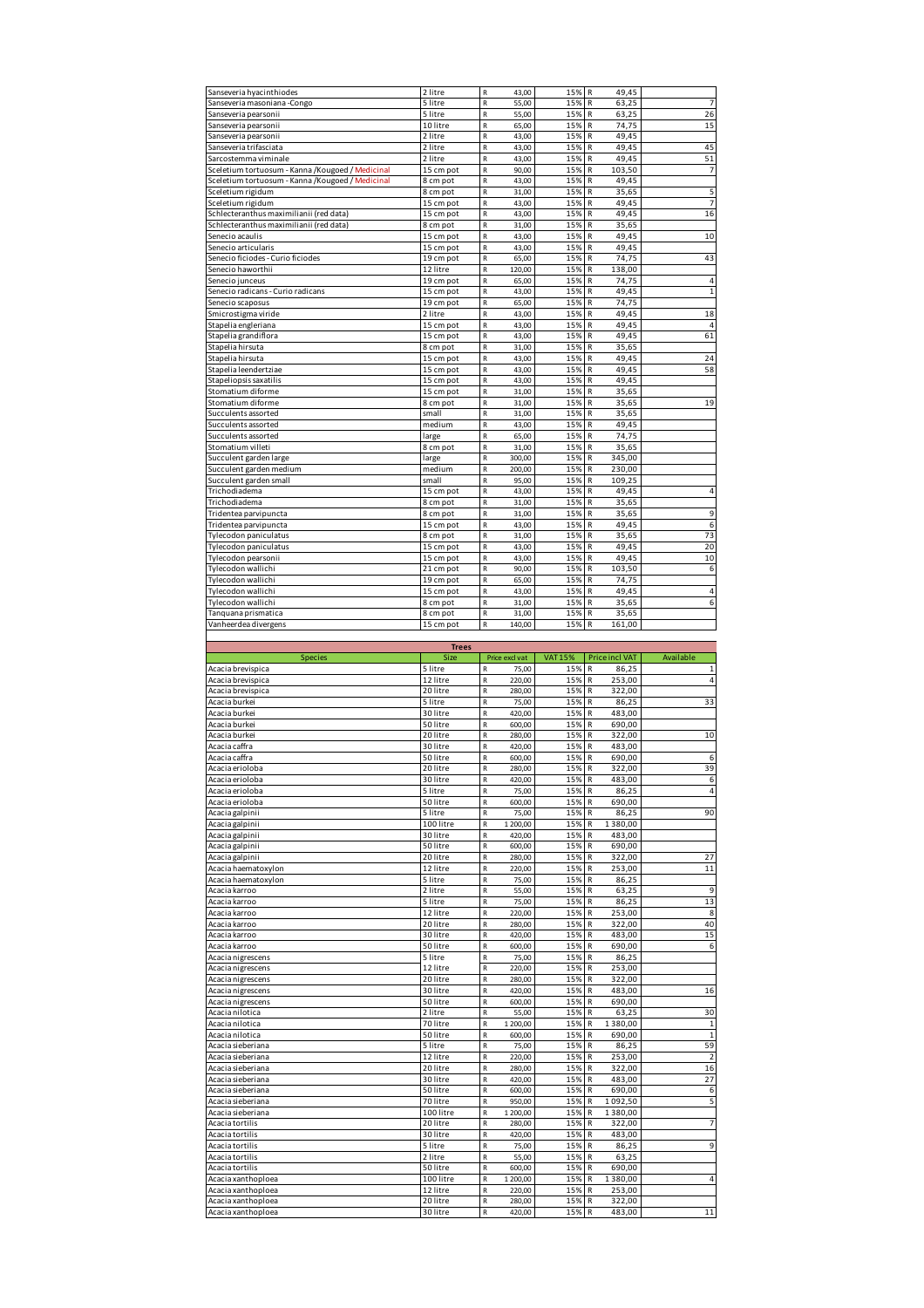| Sanseveria hyacinthiodes                          | 2 litre              | $\mathsf R$<br>43,00                       | 15%            | R<br>49,45                      |                         |
|---------------------------------------------------|----------------------|--------------------------------------------|----------------|---------------------------------|-------------------------|
| Sanseveria masoniana -Congo                       | 5 litre              | R<br>55,00                                 | 15%            | 63,25<br>R                      | 7                       |
| Sanseveria pearsonii                              | 5 litre              | R<br>55,00                                 | 15%            | R<br>63,25                      | 26                      |
| Sanseveria pearsonii                              | 10 litre             | $\mathsf R$<br>65,00                       | 15%            | R<br>74,75                      | 15                      |
| Sanseveria pearsonii                              | 2 litre              | $\mathsf R$<br>43,00                       | 15%            | R<br>49,45                      |                         |
| Sanseveria trifasciata                            | 2 litre              | R<br>43,00                                 | 15%            | 49,45<br>R                      | 45                      |
| Sarcostemma viminale                              | 2 litre              | $\mathsf R$<br>43,00                       | 15%            | R<br>49,45                      | 51                      |
| Sceletium tortuosum - Kanna /Kougoed / Medicinal  | 15 cm pot            | R<br>90,00                                 | 15%            | R<br>103,50                     | 7                       |
| Sceletium tortuosum - Kanna / Kougoed / Medicinal | 8 cm pot             | $\mathsf R$<br>43,00                       | 15%            | R<br>49,45                      |                         |
| Sceletium rigidum                                 | 8 cm pot             | R<br>31,00                                 | 15%            | R<br>35,65                      | 5                       |
|                                                   |                      |                                            |                |                                 | 7                       |
| Sceletium rigidum                                 | 15 cm pot            | $\mathsf R$<br>43,00                       | 15%            | 49,45<br>R                      |                         |
| Schlecteranthus maximilianii (red data)           | 15 cm pot            | R<br>43,00                                 | 15%            | R<br>49,45                      | 16                      |
| Schlecteranthus maximilianii (red data)           | 8 cm pot             | $\mathsf R$<br>31,00                       | 15%            | 35,65<br>R                      |                         |
| Senecio acaulis                                   | 15 cm pot            | $\mathsf R$<br>43,00                       | 15%            | R<br>49,45                      | 10                      |
| Senecio articularis                               | 15 cm pot            | R<br>43,00                                 | 15%            | 49,45<br>R                      |                         |
| Senecio ficiodes - Curio ficiodes                 | 19 cm pot            | R<br>65,00                                 | 15%            | 74,75<br>R                      | 43                      |
| Senecio haworthii                                 | 12 litre             | $\mathsf R$<br>120,00                      | 15%            | R<br>138,00                     |                         |
| Senecio junceus                                   | 19 cm pot            | $\mathsf R$<br>65,00                       | 15%            | R<br>74,75                      | 4                       |
| Senecio radicans - Curio radicans                 | 15 cm pot            | R<br>43,00                                 | 15%            | 49,45<br>R                      | $\mathbf 1$             |
| Senecio scaposus                                  | 19 cm pot            | R<br>65,00                                 | 15%            | R<br>74,75                      |                         |
| Smicrostigma viride                               | 2 litre              | $\mathsf R$<br>43,00                       | 15%            | R<br>49,45                      | 18                      |
| Stapelia engleriana                               | 15 cm pot            | $\mathsf R$<br>43,00                       | 15%            | R<br>49,45                      | 4                       |
|                                                   |                      | R                                          | 15%            | 49,45<br>R                      | 61                      |
| Stapelia grandiflora                              | 15 cm pot            | 43,00                                      |                |                                 |                         |
| Stapelia hirsuta                                  | 8 cm pot             | R<br>31,00                                 | 15%            | R<br>35,65                      |                         |
| Stapelia hirsuta                                  | 15 cm pot            | $\mathsf R$<br>43,00                       | 15%            | R<br>49,45                      | 24                      |
| Stapelia leendertziae                             | 15 cm pot            | $\mathsf R$<br>43,00                       | 15%            | R<br>49,45                      | 58                      |
| Stapeliopsis saxatilis                            | 15 cm pot            | R<br>43,00                                 | 15%            | 49,45<br>R                      |                         |
| Stomatium diforme                                 | 15 cm pot            | R<br>31,00                                 | 15%            | R<br>35,65                      |                         |
| Stomatium diforme                                 | 8 cm pot             | R<br>31,00                                 | 15%            | R<br>35,65                      | 19                      |
| Succulents assorted                               | small                | $\mathsf R$<br>31,00                       | 15%            | R<br>35,65                      |                         |
| Succulents assorted                               | medium               | R<br>43,00                                 | 15%            | R<br>49,45                      |                         |
| Succulents assorted                               | large                | $\mathsf R$<br>65,00                       | 15%            | 74,75<br>R                      |                         |
| Stomatium villeti                                 | 8 cm pot             | $\mathsf R$<br>31,00                       | 15%            | R<br>35,65                      |                         |
|                                                   |                      |                                            |                |                                 |                         |
| Succulent garden large                            | large                | $\mathsf R$<br>300,00                      | 15%            | R<br>345,00                     |                         |
| Succulent garden medium                           | medium               | $\mathsf R$<br>200,00                      | 15%            | R<br>230,00                     |                         |
| Succulent garden small                            | small                | R<br>95,00                                 | 15%            | R<br>109,25                     |                         |
| Trichodiadema                                     | 15 cm pot            | R<br>43,00                                 | 15%            | 49,45<br>R                      | 4                       |
| Trichodiadema                                     | 8 cm pot             | $\mathsf R$<br>31,00                       | 15%            | R<br>35,65                      |                         |
| Tridentea parvipuncta                             | 8 cm pot             | $\mathsf R$<br>31,00                       | 15%            | R<br>35,65                      | 9                       |
| Tridentea parvipuncta                             | 15 cm pot            | R<br>43,00                                 | 15%            | 49,45<br>R                      | 6                       |
| Tylecodon paniculatus                             | 8 cm pot             | R<br>31,00                                 | 15%            | R<br>35,65                      | 73                      |
| Tylecodon paniculatus                             | 15 cm pot            | $\mathsf R$<br>43,00                       | 15%            | R<br>49,45                      | 20                      |
|                                                   | 15 cm pot            | $\mathsf R$<br>43,00                       | 15%            | 49,45<br>R                      | 10                      |
| Tylecodon pearsonii                               |                      |                                            |                |                                 |                         |
| Tylecodon wallichi                                | 21 cm pot            | R<br>90,00                                 | 15%            | 103,50<br>R                     | 6                       |
| Tylecodon wallichi                                | 19 cm pot            | R<br>65,00                                 | 15%            | 74,75<br>R                      |                         |
| Tylecodon wallichi                                | 15 cm pot            | $\mathsf R$<br>43,00                       | 15%            | R<br>49,45                      | 4                       |
| Tylecodon wallichi                                | 8 cm pot             | $\mathsf R$<br>31,00                       | 15%            | R<br>35,65                      | 6                       |
| Tanquana prismatica                               | 8 cm pot             | R<br>31,00                                 | 15%            | R<br>35,65                      |                         |
| Vanheerdea divergens                              | 15 cm pot            | R<br>140,00                                | 15%            | R<br>161,00                     |                         |
|                                                   |                      |                                            |                |                                 |                         |
|                                                   | <b>Trees</b>         |                                            |                |                                 |                         |
|                                                   |                      |                                            |                |                                 |                         |
| <b>Species</b>                                    | Size                 | Price excl vat                             | <b>VAT 15%</b> | <b>Price incl VAT</b>           | Available               |
|                                                   |                      | R                                          | 15%            | R                               |                         |
| Acacia brevispica                                 | 5 litre              | 75,00                                      |                | 86,25                           | $\mathbf{1}$            |
| Acacia brevispica                                 | 12 litre             | ${\sf R}$<br>220,00                        | 15%            | R<br>253,00                     | 4                       |
| Acacia brevispica                                 | 20 litre             | ${\sf R}$<br>280,00                        | 15%            | R<br>322,00                     |                         |
| Acacia burkei                                     | 5 litre              | R<br>75,00                                 | 15%            | R<br>86,25                      | 33                      |
| Acacia burkei                                     | 30 litre             | R<br>420,00                                | 15%            | R<br>483,00                     |                         |
| Acacia burkei                                     | 50 litre             | R<br>600,00                                | 15%            | 690,00<br>R                     |                         |
| Acacia burkei                                     | 20 litre             | $\mathsf R$<br>280,00                      | 15%            | R<br>322,00                     | 10                      |
| Acacia caffra                                     | 30 litre             | $\mathsf R$<br>420,00                      | 15%            | R<br>483,00                     |                         |
| Acacia caffra                                     | 50 litre             | R<br>600,00                                | 15%            | R<br>690,00                     | 6                       |
| Acacia erioloba                                   | 20 litre             | R<br>280,00                                | 15%            | R<br>322,00                     | 39                      |
| Acacia eriolo                                     | 30 litre             | 420.00                                     | 15%            | R<br>483.00                     |                         |
| Acacia erioloba                                   | 5 litre              | $\mathsf R$<br>75,00                       | 15%            | ${\sf R}$<br>86,25              | 4                       |
| Acacia erioloba                                   | 50 litre             | R<br>600,00                                | 15%            | R<br>690,00                     |                         |
|                                                   |                      |                                            |                |                                 |                         |
| Acacia galpinii                                   | 5 litre              | R<br>75,00                                 | 15%            | 86,25<br>R                      | 90                      |
| Acacia galpinii                                   | 100 litre            | R<br>1 200,00                              | 15%            | $\mathsf{R}$<br>1380,00         |                         |
| Acacia galpinii                                   | 30 litre             | ${\sf R}$<br>420,00                        | 15%            | $\mathsf R$<br>483,00           |                         |
| Acacia galpinii                                   | 50 litre             | R<br>600,00                                | 15%            | 690,00<br>R                     |                         |
| Acacia galpinii                                   | 20 litre             | R<br>280,00                                | 15%            | R<br>322,00                     | 27                      |
| Acacia haematoxylon                               | 12 litre             | ${\sf R}$<br>220,00                        | 15%            | 253,00<br>R                     | 11                      |
| Acacia haematoxylon                               | 5 litre              | $\mathsf R$<br>75,00                       | 15%            | 86,25<br>R                      |                         |
| Acacia karroo                                     | 2 litre              | $\mathsf R$<br>55,00                       | 15%            | 63,25<br>R                      | 9                       |
| Acacia karroo                                     | 5 litre              | R<br>75,00                                 | 15%            | 86,25<br>R                      | 13                      |
| Acacia karroo                                     | 12 litre             | R<br>220,00                                | 15%            | $\mathsf R$<br>253,00           | 8                       |
| Acacia karroo                                     | 20 litre             | ${\sf R}$<br>280,00                        | 15%            | $\mathsf R$<br>322,00           | 40                      |
| Acacia karroo                                     |                      | $\mathsf R$                                |                | R                               |                         |
|                                                   | 30 litre             | 420,00                                     | 15%            | 483,00                          | 15                      |
| Acacia karroo                                     | 50 litre             | $\mathsf R$<br>600,00                      | 15%            | R<br>690,00                     | 6                       |
| Acacia nigrescens                                 | 5 litre              | R<br>75,00                                 | 15%            | R<br>86,25                      |                         |
| Acacia nigrescens                                 | 12 litre             | R<br>220,00                                | 15%            | ${\sf R}$<br>253,00             |                         |
| Acacia nigrescens                                 | 20 litre             | $\mathsf R$<br>280,00                      | 15%            | 322,00<br>R                     |                         |
| Acacia nigrescens                                 | 30 litre             | R<br>420,00                                | 15%            | R<br>483,00                     | 16                      |
| Acacia nigrescens                                 | 50 litre             | R<br>600,00                                | 15%            | R<br>690,00                     |                         |
| Acacia nilotica                                   | 2 litre              | ${\sf R}$<br>55,00                         | 15%            | 63,25<br>R                      | 30                      |
| Acacia nilotica                                   | 70 litre             | ${\sf R}$<br>1 200,00                      | 15%            | 1380,00<br>R                    | $\mathbf 1$             |
| Acacia nilotica                                   | 50 litre             | R<br>600,00                                | 15%            | R<br>690,00                     | $\,1\,$                 |
| Acacia sieberiana                                 | 5 litre              | R<br>75,00                                 | 15%            | 86,25<br>R                      | 59                      |
|                                                   |                      | R                                          |                | $\mathsf{R}$                    |                         |
| Acacia sieberiana                                 | 12 litre             | 220,00                                     | 15%            | 253,00                          | $\overline{\mathbf{2}}$ |
| Acacia sieberiana                                 | 20 litre             | ${\sf R}$<br>280,00                        | 15%            | 322,00<br>R                     | 16                      |
| Acacia sieberiana                                 | 30 litre             | R<br>420,00                                | 15%            | R<br>483,00                     | 27                      |
| Acacia sieberiana                                 | 50 litre             | R<br>600,00                                | 15%            | 690,00<br>R                     | 6                       |
| Acacia sieberiana                                 | 70 litre             | $\mathsf R$<br>950,00                      | 15%            | 1092,50<br>R                    | 5                       |
| Acacia sieberiana                                 | 100 litre            | ${\sf R}$<br>1 200,00                      | 15%            | 1380,00<br>R                    |                         |
| Acacia tortilis                                   | 20 litre             | R<br>280,00                                | 15%            | R<br>322,00                     | 7                       |
| Acacia tortilis                                   | 30 litre             | 420,00<br>R                                | 15%            | 483,00<br>${\sf R}$             |                         |
| Acacia tortilis                                   | 5 litre              | ${\sf R}$<br>75,00                         | 15% R          | 86,25                           | 9                       |
|                                                   | 2 litre              | ${\sf R}$<br>55,00                         |                | 63,25<br>R                      |                         |
| Acacia tortilis                                   |                      |                                            | 15%            |                                 |                         |
| Acacia tortilis                                   | 50 litre             | $\mathsf R$<br>600,00                      | 15%            | 690,00<br>R                     |                         |
| Acacia xanthoploea                                | 100 litre            | R<br>1 200,00                              | 15%            | R<br>1380,00                    | 4                       |
| Acacia xanthoploea                                | 12 litre             | R<br>220,00                                | 15%            | 253,00<br>R                     |                         |
| Acacia xanthoploea<br>Acacia xanthoploea          | 20 litre<br>30 litre | ${\sf R}$<br>280,00<br>${\sf R}$<br>420,00 | 15%<br>15% R   | $\mathsf R$<br>322,00<br>483,00 | $11\,$                  |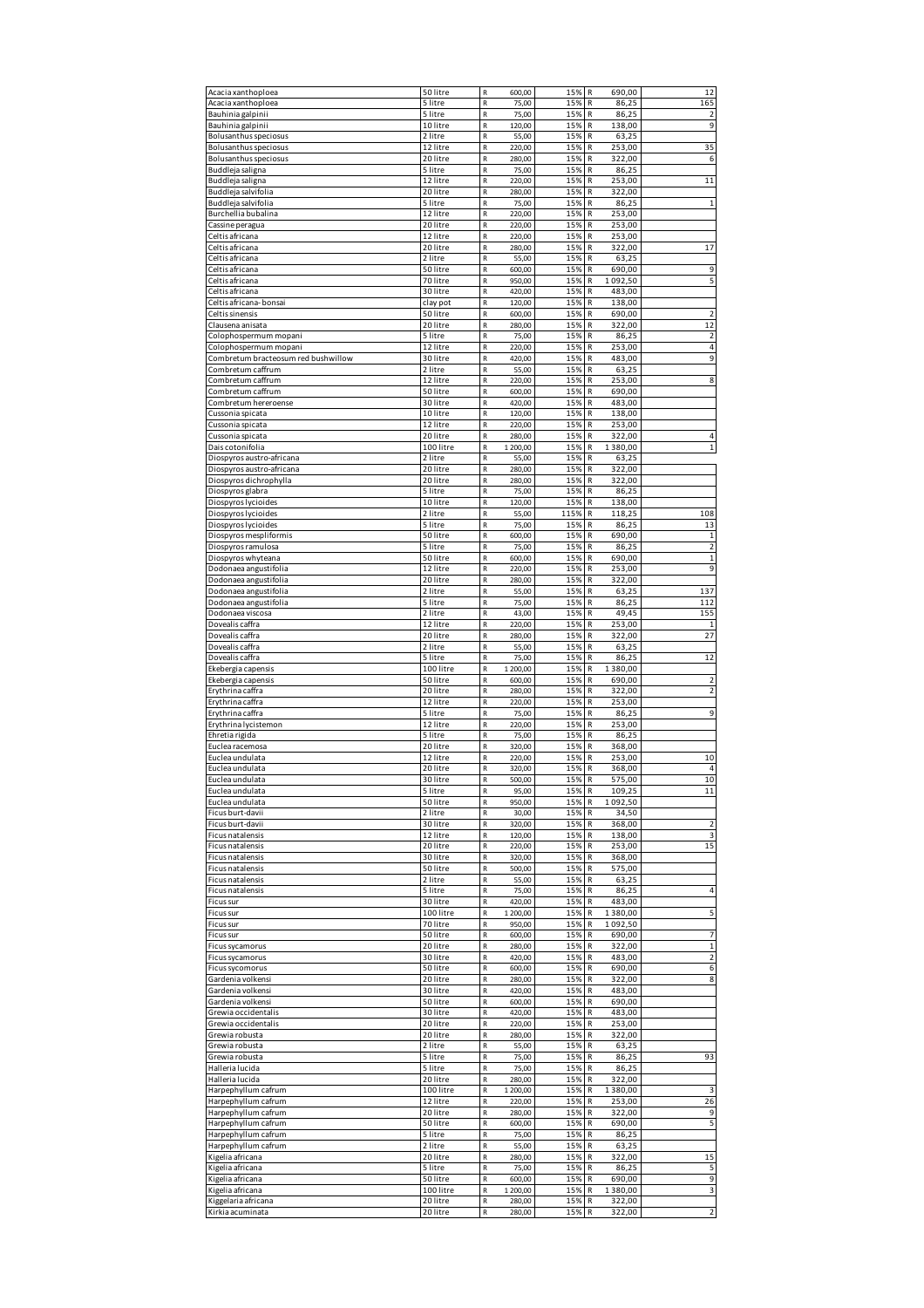| Acacia xanthoploea                            | 50 litre              | R<br>600,00                          | 15%        | R<br>690,00                 | 12             |
|-----------------------------------------------|-----------------------|--------------------------------------|------------|-----------------------------|----------------|
| Acacia xanthoploea                            | 5 litre               | R<br>75,00                           | 15%        | R<br>86,25                  | 165            |
| Bauhinia galpinii                             | 5 litre               | $\mathsf R$<br>75,00                 | 15%        | R<br>86,25                  | $\overline{2}$ |
| Bauhinia galpinii                             | 10 litre              | R<br>120,00                          | 15%        | 138,00<br>R                 | 9              |
| Bolusanthus speciosus                         | 2 litre               | R<br>55,00                           | 15%        | R<br>63,25                  |                |
| Bolusanthus speciosus                         | 12 litre              | ${\sf R}$<br>220,00                  | 15%        | R<br>253,00                 | 35             |
| Bolusanthus speciosus                         | 20 litre              | $\mathsf R$<br>280,00                | 15%        | $\mathsf R$<br>322,00       | 6              |
| Buddleja saligna                              | 5 litre               | $\mathsf R$<br>75,00                 | 15%        | R<br>86,25                  |                |
| Buddleja saligna                              | 12 litre              | R<br>220,00                          | 15%        | R<br>253,00                 | 11             |
| Buddleja salvifolia                           | 20 litre              | R<br>280,00                          | 15%        | R<br>322,00                 |                |
| Buddleja salvifolia                           | 5 litre               | ${\sf R}$<br>75,00                   | 15%        | R<br>86,25                  | $\mathbf{1}$   |
| Burchellia bubalina                           | 12 litre              | R<br>220,00                          | 15%        | R<br>253,00                 |                |
| Cassine peragua                               | 20 litre              | R<br>220,00                          | 15%        | 253,00<br>R                 |                |
| Celtis africana                               | 12 litre              | R<br>220,00                          | 15%        | R<br>253,00                 |                |
| Celtis africana                               | 20 litre              | R<br>280,00                          | 15%        | R<br>322,00                 | 17             |
| Celtis africana                               | 2 litre               | ${\sf R}$<br>55,00                   | 15%        | R<br>63,25                  |                |
| Celtis africana                               | 50 litre              | R<br>600,00                          | 15%        | 690,00<br>R                 | 9              |
| Celtis africana                               | 70 litre              | R<br>950,00                          | 15%        | R<br>1092,50                | 5              |
| Celtis africana                               | 30 litre              | $\mathsf R$<br>420,00                | 15%        | 483,00<br>R                 |                |
| Celtis africana-bonsai                        |                       | $\mathsf R$<br>120,00                | 15%        | R<br>138,00                 |                |
| Celtis sinensis                               | clay pot<br>50 litre  | R<br>600,00                          | 15%        | R<br>690,00                 | $\overline{2}$ |
| Clausena anisata                              | 20 litre              | R<br>280,00                          | 15%        | 322,00<br>R                 | 12             |
| Colophospermum mopani                         | 5 litre               | R<br>75,00                           | 15%        | R<br>86,25                  | 2              |
| Colophospermum mopani                         | 12 litre              | $\mathsf R$<br>220,00                | 15%        | R<br>253,00                 | $\sqrt{4}$     |
| Combretum bracteosum red bushwillow           | 30 litre              | R<br>420,00                          | 15%        | 483,00<br>R                 | 9              |
| Combretum caffrum                             | 2 litre               | R<br>55,00                           | 15%        | R<br>63,25                  |                |
| Combretum caffrum                             | 12 litre              | $\mathsf R$<br>220,00                | 15%        | R<br>253,00                 | 8              |
| Combretum caffrum                             | 50 litre              | $\mathsf R$<br>600,00                | 15%        | R<br>690,00                 |                |
|                                               | 30 litre              | $\mathsf R$<br>420,00                | 15%        | R<br>483,00                 |                |
| Combretum hereroense                          |                       |                                      |            |                             |                |
| Cussonia spicata                              | 10 litre<br>12 litre  | R<br>120,00<br>R                     | 15%        | R<br>138,00<br>R            |                |
| Cussonia spicata                              |                       | 220,00<br>$\mathsf R$                | 15%        | 253,00<br>R                 | $\overline{4}$ |
| Cussonia spicata                              | 20 litre<br>100 litre | 280,00<br>${\sf R}$                  | 15%<br>15% | 322,00<br>${\sf R}$         | $\mathbf{1}$   |
| Dais cotonifolia<br>Diospyros austro-africana | 2 litre               | 1 200,00<br>$\mathsf R$              | 15%        | 1380,00<br>63,25            |                |
|                                               |                       | 55,00<br>R                           | 15%        | R<br>322,00                 |                |
| Diospyros austro-africana                     | 20 litre              | 280,00                               |            | R                           |                |
| Diospyros dichrophylla                        | 20 litre<br>5 litre   | R<br>280,00                          | 15%        | ${\sf R}$<br>322,00         |                |
| Diospyros glabra                              |                       | ${\sf R}$<br>75,00                   | 15%        | R<br>86,25                  |                |
| Diospyros lycioides                           | 10 litre              | R<br>120,00                          | 15%        | 138,00<br>R                 |                |
| Diospyros lycioides                           | 2 litre               | R<br>55,00                           | 115%       | R<br>118,25                 | 108            |
| Diospyros lycioides                           | 5 litre               | $\mathsf R$<br>75,00                 | 15%        | 86,25<br>R                  | 13             |
| Diospyros mespliformis                        | 50 litre              | R<br>600,00                          | 15%        | R<br>690,00                 | $\mathbf 1$    |
| Diospyros ramulosa                            | 5 litre               | R<br>75,00                           | 15%        | R<br>86,25                  | $\mathbf 2$    |
| Diospyros whyteana                            | 50 litre              | R<br>600,00                          | 15%        | 690,00<br>R                 | $\mathbf{1}$   |
| Dodonaea angustifolia                         | 12 litre              | $\mathsf R$<br>220,00                | 15%        | R<br>253,00                 | 9              |
| Dodonaea angustifolia                         | 20 litre              | $\mathsf R$<br>280,00                | 15%        | R<br>322,00                 |                |
| Dodonaea angustifolia                         | 2 litre               | R<br>55,00                           | 15%        | R<br>63,25                  | 137            |
| Dodonaea angustifolia                         | 5 litre               | R<br>75,00                           | 15%        | R<br>86,25                  | 112            |
| Dodonaea viscosa                              | 2 litre               | ${\sf R}$<br>43,00                   | 15%        | R<br>49,45                  | 155            |
| Dovealis caffra                               | 12 litre              | R<br>220,00                          | 15%        | R<br>253,00                 |                |
| Dovealis caffra                               | 20 litre              | R<br>280,00                          | 15%        | 322,00<br>R                 | 27             |
|                                               |                       |                                      |            |                             |                |
| Dovealis caffra                               | 2 litre               | R<br>55,00                           | 15%        | 63,25<br>R                  |                |
| Dovealis caffra                               | 5 litre               | R<br>75,00                           | 15%        | R<br>86,25                  | 12             |
| Ekebergia capensis                            | 100 litre             | ${\sf R}$<br>1 200,00                | 15%        | R<br>1380,00                |                |
| Ekebergia capensis                            | 50 litre              | R<br>600,00                          | 15%        | R<br>690,00                 | $\overline{2}$ |
| Erythrina caffra                              | 20 litre              | R<br>280,00                          | 15%        | R<br>322,00                 | 2              |
| Erythrina caffra                              | 12 litre              | R<br>220,00                          | 15%        | 253,00<br>R                 |                |
| Erythrina caffra                              | 5 litre               | R<br>75,00                           | 15%        | ${\sf R}$<br>86,25          | 9              |
| Erythrina lycistemon                          | 12 litre              | ${\sf R}$<br>220,00                  | 15%        | R<br>253,00                 |                |
| Ehretia rigida                                | 5 litre               | R<br>75,00                           | 15%        | 86,25<br>R                  |                |
| Euclea racemosa                               | 20 litre              | R<br>320,00                          | 15%        | R<br>368,00                 |                |
| Euclea undulata                               | 12 litre              | $\mathsf R$<br>220,00                | 15%        | 253,00<br>R                 | 10             |
| Euclea undulata                               | 20 litre              | $\mathsf R$<br>320,00                | 15%        | R<br>368,00                 | 4              |
| Euclea undulata                               | 30 litre              | 500.00                               | 15%        | R<br>575,00                 | 10             |
| Euclea undulata                               | 5 litre               | R<br>95,00                           | 15%        | R<br>109,25                 | 11             |
| Euclea undulata                               | 50 litre              | R<br>950,00                          | 15%        | $\mathsf R$<br>1092,50      |                |
| Ficus burt-davii                              | 2 litre               | ${\sf R}$<br>30,00                   | 15%        | ${\sf R}$<br>34,50          |                |
| Ficus burt-davii                              | 30 litre              | $\mathsf R$<br>320,00                | 15%        | 368,00<br>R                 | $\mathbf 2$    |
| Ficus natalensis                              | 12 litre              | R<br>120,00                          | 15%        | ${\sf R}$<br>138,00         | 3              |
| Ficus natalensis                              | 20 litre              | ${\sf R}$<br>220,00                  | 15%        | ${\sf R}$<br>253,00         | 15             |
| Ficus natalensis                              | 30 litre              | R<br>320,00                          | 15%        | ${\sf R}$<br>368,00         |                |
| Ficus natalensis                              | 50 litre              | ${\sf R}$<br>500,00                  | 15%        | R<br>575,00                 |                |
| Ficus natalensis                              | 2 litre               | R<br>55,00                           | 15%        | 63,25<br>R                  |                |
| Ficus natalensis                              | 5 litre               | R<br>75,00                           | 15%        | $\mathsf R$<br>86,25        | 4              |
| Ficus sur                                     | 30 litre              | ${\sf R}$<br>420,00                  | 15%        | ${\sf R}$<br>483,00         |                |
| Ficus sur                                     | 100 litre             | R<br>1 200,00                        | 15%        | 1380,00<br>R                | 5              |
| Ficus sur                                     | 70 litre              | R<br>950,00                          | 15%        | R<br>1092,50                |                |
| Ficus sur                                     | 50 litre              | R<br>600,00                          | 15%        | 690,00<br>R                 | 7              |
| Ficus sycamorus                               | 20 litre              | ${\sf R}$<br>280,00                  | 15%        | $\mathsf{R}$<br>322,00      | $\mathbf 1$    |
| Ficus sycamorus                               | 30 litre              | ${\sf R}$<br>420,00                  | 15%        | ${\sf R}$<br>483,00         | 2              |
| Ficus sycomorus                               | 50 litre              | ${\sf R}$<br>600,00                  | 15%        | R<br>690,00                 | 6              |
| Gardenia volkensi                             | 20 litre              | R<br>280,00                          | 15%        | 322,00<br>R                 | 8              |
| Gardenia volkensi                             | 30 litre              | ${\sf R}$<br>420,00                  | 15%        | 483,00<br>R                 |                |
| Gardenia volkensi                             | 50 litre              | R<br>600,00                          | 15%        | ${\sf R}$<br>690,00         |                |
| Grewia occidentalis                           | 30 litre              | R<br>420,00                          | 15%        | R<br>483,00                 |                |
| Grewia occidentalis                           | 20 litre              | R<br>220,00                          | 15%        | R<br>253,00                 |                |
| Grewia robusta                                | 20 litre              | R<br>280,00                          | 15%        | $\mathsf R$<br>322,00       |                |
| Grewia robusta                                | 2 litre               | ${\sf R}$<br>55,00                   | 15%        | ${\sf R}$<br>63,25          |                |
| Grewia robusta                                | 5 litre               | $\mathsf R$<br>75,00                 | 15%        | R<br>86,25                  | 93             |
| Halleria lucida                               | 5 litre               | R<br>75,00                           | 15%        | ${\sf R}$<br>86,25          |                |
| Halleria lucida                               | 20 litre              | ${\sf R}$<br>280,00                  | 15%        | 322,00<br>R                 |                |
| Harpephyllum cafrum                           | 100 litre             | R<br>1 200,00                        | 15%        | ${\sf R}$<br>1380,00        | 3              |
| Harpephyllum cafrum                           | 12 litre              | ${\sf R}$<br>220,00                  | 15%        | R<br>253,00                 | 26             |
| Harpephyllum cafrum                           | 20 litre              | R<br>280,00                          | 15%        | 322,00<br>R                 | 9              |
| Harpephyllum cafrum                           | 50 litre              | R<br>600,00                          | 15%        | $\mathsf{R}$<br>690,00      | 5              |
| Harpephyllum cafrum                           | 5 litre               | ${\sf R}$<br>75,00                   | 15%        | $\mathsf R$<br>86,25        |                |
| Harpephyllum cafrum                           | 2 litre               | ${\sf R}$<br>55,00                   | 15%        | 63,25<br>R                  |                |
| Kigelia africana                              | 20 litre              | R<br>280,00                          | 15%        | R<br>322,00                 | 15             |
| Kigelia africana                              | 5 litre               | R<br>75,00                           | 15%        | R<br>86,25                  | 5              |
| Kigelia africana                              | 50 litre              | R<br>600,00                          | 15%        | $\mathsf{R}$<br>690,00      | 9              |
| Kigelia africana<br>Kiggelaria africana       | 100 litre<br>20 litre | ${\sf R}$<br>1 200,00<br>R<br>280,00 | 15%<br>15% | R<br>1380,00<br>322,00<br>R | 3              |